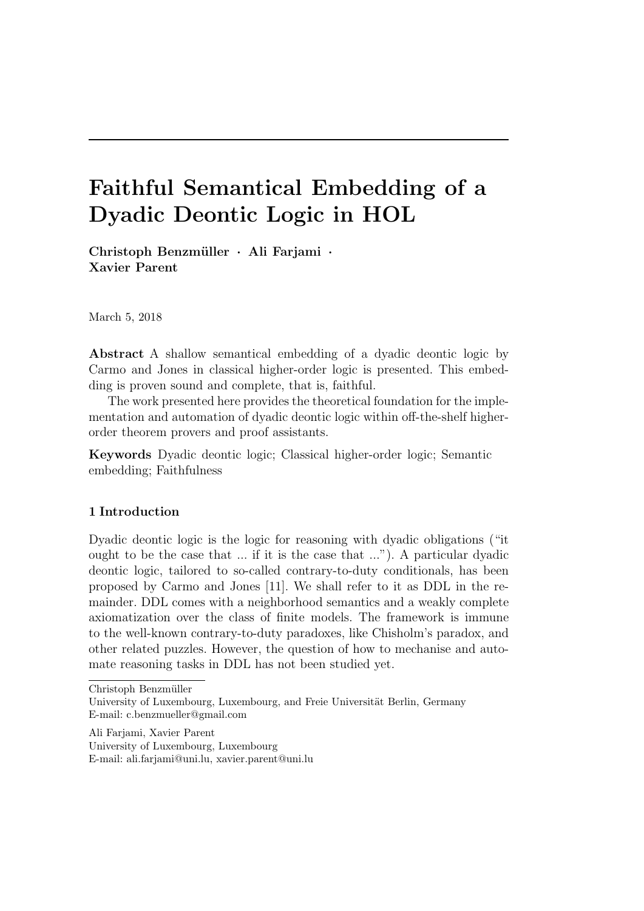# Faithful Semantical Embedding of a Dyadic Deontic Logic in HOL

Christoph Benzmüller · Ali Farjami · Xavier Parent

March 5, 2018

Abstract A shallow semantical embedding of a dyadic deontic logic by Carmo and Jones in classical higher-order logic is presented. This embedding is proven sound and complete, that is, faithful.

The work presented here provides the theoretical foundation for the implementation and automation of dyadic deontic logic within off-the-shelf higherorder theorem provers and proof assistants.

Keywords Dyadic deontic logic; Classical higher-order logic; Semantic embedding; Faithfulness

# 1 Introduction

Dyadic deontic logic is the logic for reasoning with dyadic obligations ("it ought to be the case that ... if it is the case that ..."). A particular dyadic deontic logic, tailored to so-called contrary-to-duty conditionals, has been proposed by Carmo and Jones [11]. We shall refer to it as DDL in the remainder. DDL comes with a neighborhood semantics and a weakly complete axiomatization over the class of finite models. The framework is immune to the well-known contrary-to-duty paradoxes, like Chisholm's paradox, and other related puzzles. However, the question of how to mechanise and automate reasoning tasks in DDL has not been studied yet.

University of Luxembourg, Luxembourg

E-mail: ali.farjami@uni.lu, xavier.parent@uni.lu

Christoph Benzmüller

University of Luxembourg, Luxembourg, and Freie Universität Berlin, Germany E-mail: c.benzmueller@gmail.com

Ali Farjami, Xavier Parent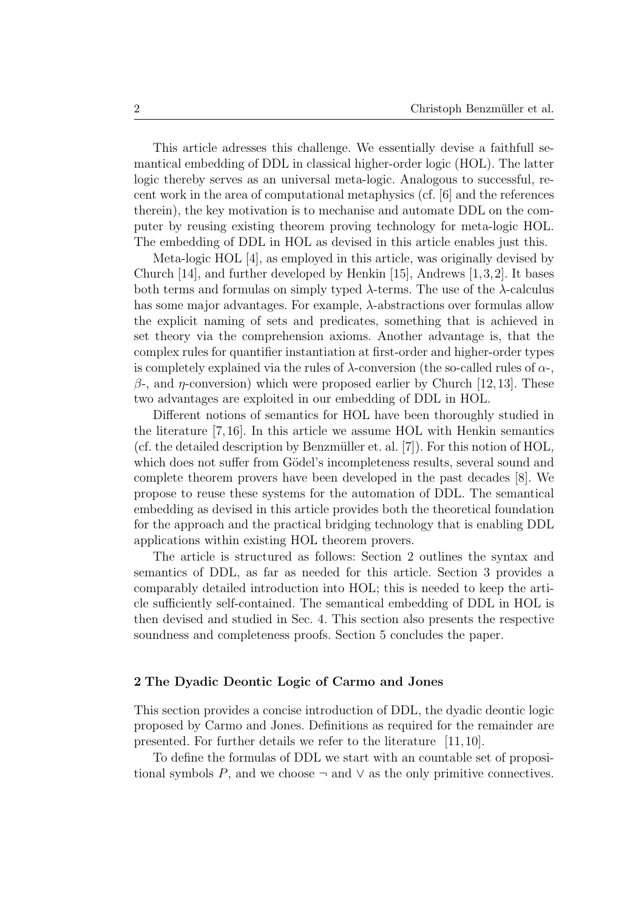This article adresses this challenge. We essentially devise a faithfull semantical embedding of DDL in classical higher-order logic (HOL). The latter logic thereby serves as an universal meta-logic. Analogous to successful, recent work in the area of computational metaphysics (cf. [6] and the references therein), the key motivation is to mechanise and automate DDL on the computer by reusing existing theorem proving technology for meta-logic HOL. The embedding of DDL in HOL as devised in this article enables just this.

Meta-logic HOL [4], as employed in this article, was originally devised by Church [14], and further developed by Henkin [15], Andrews [1,3,2]. It bases both terms and formulas on simply typed  $\lambda$ -terms. The use of the  $\lambda$ -calculus has some major advantages. For example, λ-abstractions over formulas allow the explicit naming of sets and predicates, something that is achieved in set theory via the comprehension axioms. Another advantage is, that the complex rules for quantifier instantiation at first-order and higher-order types is completely explained via the rules of  $\lambda$ -conversion (the so-called rules of  $\alpha$ -,  $β$ -, and *η*-conversion) which were proposed earlier by Church [12,13]. These two advantages are exploited in our embedding of DDL in HOL.

Different notions of semantics for HOL have been thoroughly studied in the literature [7,16]. In this article we assume HOL with Henkin semantics (cf. the detailed description by Benzmüller et. al.  $[7]$ ). For this notion of  $HOL$ , which does not suffer from Gödel's incompleteness results, several sound and complete theorem provers have been developed in the past decades [8]. We propose to reuse these systems for the automation of DDL. The semantical embedding as devised in this article provides both the theoretical foundation for the approach and the practical bridging technology that is enabling DDL applications within existing HOL theorem provers.

The article is structured as follows: Section 2 outlines the syntax and semantics of DDL, as far as needed for this article. Section 3 provides a comparably detailed introduction into HOL; this is needed to keep the article sufficiently self-contained. The semantical embedding of DDL in HOL is then devised and studied in Sec. 4. This section also presents the respective soundness and completeness proofs. Section 5 concludes the paper.

## 2 The Dyadic Deontic Logic of Carmo and Jones

This section provides a concise introduction of DDL, the dyadic deontic logic proposed by Carmo and Jones. Definitions as required for the remainder are presented. For further details we refer to the literature [11,10].

To define the formulas of DDL we start with an countable set of propositional symbols P, and we choose  $\neg$  and  $\vee$  as the only primitive connectives.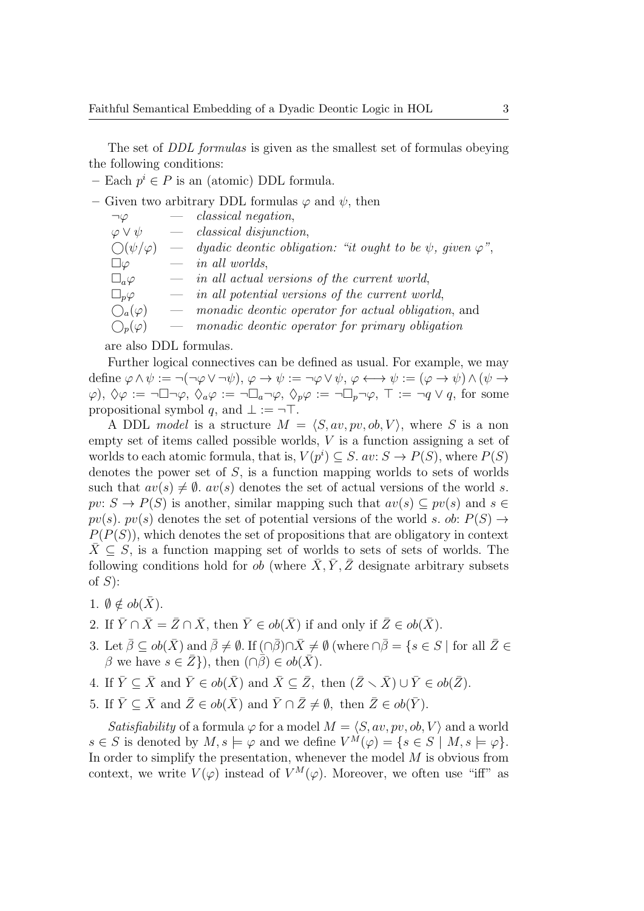The set of *DDL formulas* is given as the smallest set of formulas obeying the following conditions:

– Each  $p^i \in P$  is an (atomic) DDL formula.

– Given two arbitrary DDL formulas  $\varphi$  and  $\psi$ , then

| $\neg \varphi$                | $-$ classical negation,                                                                 |
|-------------------------------|-----------------------------------------------------------------------------------------|
| $\varphi \vee \psi$           | $-$ classical disjunction,                                                              |
| $\bigcirc$ ( $\psi/\varphi$ ) | $\hspace{0.1cm}$ dyadic deontic obligation: "it ought to be $\psi$ , given $\varphi$ ", |
| $\Box \varphi$                | $-$ in all worlds,                                                                      |
| $\square_a \varphi$           | $\hspace{1.6cm}$ in all actual versions of the current world,                           |
| $\square_p \varphi$           | $\hspace{1.6cm}$ in all potential versions of the current world,                        |
| $\bigcirc_a(\varphi)$         | — <i>monadic deontic operator for actual obligation</i> , and                           |
| $O_p(\varphi)$                | - monadic deontic operator for primary obligation                                       |
|                               |                                                                                         |

are also DDL formulas.

Further logical connectives can be defined as usual. For example, we may define  $\varphi \wedge \psi := \neg(\neg \varphi \vee \neg \psi), \varphi \rightarrow \psi := \neg \varphi \vee \psi, \varphi \leftrightarrow \psi := (\varphi \rightarrow \psi) \wedge (\psi \rightarrow \psi)$  $(\varphi), \Diamond \varphi := \neg \Box \neg \varphi, \Diamond_a \varphi := \neg \Box_a \neg \varphi, \Diamond_p \varphi := \neg \Box_p \neg \varphi, \top := \neg q \vee q$ , for some propositional symbol q, and  $\bot := \neg \top$ .

A DDL model is a structure  $M = \langle S, av, pv, ob, V \rangle$ , where S is a non empty set of items called possible worlds, V is a function assigning a set of worlds to each atomic formula, that is,  $V(p^i) \subseteq S$ .  $av: S \to P(S)$ , where  $P(S)$ denotes the power set of  $S$ , is a function mapping worlds to sets of worlds such that  $av(s) \neq \emptyset$ .  $av(s)$  denotes the set of actual versions of the world s.  $pv: S \to P(S)$  is another, similar mapping such that  $av(s) \subseteq pv(s)$  and  $s \in$  $pv(s)$ .  $pv(s)$  denotes the set of potential versions of the world s. ob:  $P(S) \rightarrow$  $P(P(S))$ , which denotes the set of propositions that are obligatory in context  $\bar{X} \subseteq S$ , is a function mapping set of worlds to sets of sets of worlds. The following conditions hold for *ob* (where  $\overline{X}, \overline{Y}, \overline{Z}$  designate arbitrary subsets of  $S$ :

- 1.  $\emptyset \notin ob(\bar{X})$ .
- 2. If  $\bar{Y} \cap \bar{X} = \bar{Z} \cap \bar{X}$ , then  $\bar{Y} \in ob(\bar{X})$  if and only if  $\bar{Z} \in ob(\bar{X})$ .
- 3. Let  $\bar{\beta} \subseteq ob(\bar{X})$  and  $\bar{\beta} \neq \emptyset$ . If  $(\cap \bar{\beta}) \cap \bar{X} \neq \emptyset$  (where  $\cap \bar{\beta} = \{s \in S \mid \text{for all } \bar{Z} \in \bar{S} \}$  $\beta$  we have  $s \in \overline{Z}$ , then  $(\cap \overline{\beta}) \in ob(\overline{X})$ .
- 4. If  $\bar{Y} \subseteq \bar{X}$  and  $\bar{Y} \in ob(\bar{X})$  and  $\bar{X} \subseteq \bar{Z}$ , then  $(\bar{Z} \setminus \bar{X}) \cup \bar{Y} \in ob(\bar{Z})$ .
- 5. If  $\bar{Y} \subseteq \bar{X}$  and  $\bar{Z} \in ob(\bar{X})$  and  $\bar{Y} \cap \bar{Z} \neq \emptyset$ , then  $\bar{Z} \in ob(\bar{Y})$ .

Satisfiability of a formula  $\varphi$  for a model  $M = \langle S, av, pv, ob, V \rangle$  and a world  $s \in S$  is denoted by  $M, s \models \varphi$  and we define  $V^M(\varphi) = \{ s \in S \mid M, s \models \varphi \}.$ In order to simplify the presentation, whenever the model  $M$  is obvious from context, we write  $V(\varphi)$  instead of  $V^M(\varphi)$ . Moreover, we often use "iff" as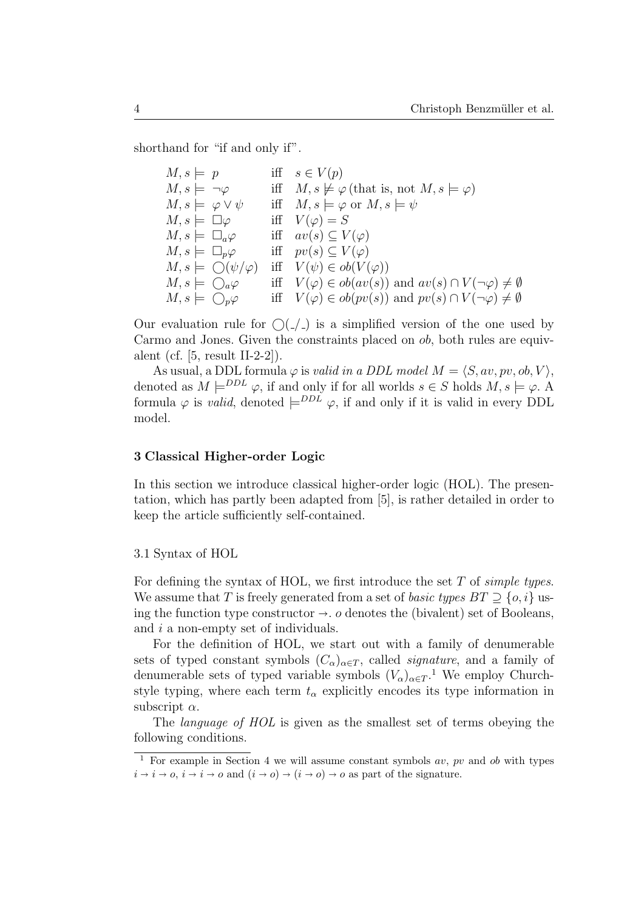shorthand for "if and only if".

| $M, s \models p$                       | iff $s \in V(p)$                                                               |
|----------------------------------------|--------------------------------------------------------------------------------|
| $M, s \models \neg \varphi$            | iff $M, s \not\models \varphi$ (that is, not $M, s \models \varphi$ )          |
| $M, s \models \varphi \vee \psi$       | iff $M, s \models \varphi$ or $M, s \models \psi$                              |
| $M, s \models \Box \varphi$            | iff $V(\varphi) = S$                                                           |
| $M, s \models \Box_a \varphi$          | iff $av(s) \subseteq V(\varphi)$                                               |
| $M, s \models \Box_p \varphi$          | iff $pv(s) \subseteq V(\varphi)$                                               |
| $M, s \models \bigcirc (\psi/\varphi)$ | iff $V(\psi) \in ob(V(\varphi))$                                               |
| $M, s \models \bigcirc_a \varphi$      | iff $V(\varphi) \in ob(av(s))$ and $av(s) \cap V(\neg \varphi) \neq \emptyset$ |
| $M, s \models \bigcirc_{p} \varphi$    | iff $V(\varphi) \in ob(pv(s))$ and $pv(s) \cap V(\neg \varphi) \neq \emptyset$ |

Our evaluation rule for  $\bigcirc$  ( $\bigcirc$ ) is a simplified version of the one used by Carmo and Jones. Given the constraints placed on ob, both rules are equivalent (cf. [5, result II-2-2]).

As usual, a DDL formula  $\varphi$  is *valid in a DDL model M* =  $\langle S, av, pv, ob, V \rangle$ , denoted as  $M \models^{DDL} \varphi$ , if and only if for all worlds  $s \in S$  holds  $M, s \models \varphi$ . formula  $\varphi$  is *valid*, denoted  $\models^{DDL} \varphi$ , if and only if it is valid in every DDL model.

#### 3 Classical Higher-order Logic

In this section we introduce classical higher-order logic (HOL). The presentation, which has partly been adapted from [5], is rather detailed in order to keep the article sufficiently self-contained.

#### 3.1 Syntax of HOL

For defining the syntax of HOL, we first introduce the set  $T$  of simple types. We assume that T is freely generated from a set of basic types  $BT \supset \{o, i\}$  using the function type constructor  $\rightarrow$ . o denotes the (bivalent) set of Booleans, and i a non-empty set of individuals.

For the definition of HOL, we start out with a family of denumerable sets of typed constant symbols  $(C_{\alpha})_{\alpha \in T}$ , called *signature*, and a family of denumerable sets of typed variable symbols  $(V_{\alpha})_{\alpha \in T}$ <sup>1</sup>. We employ Churchstyle typing, where each term  $t_{\alpha}$  explicitly encodes its type information in subscript  $\alpha$ .

The language of HOL is given as the smallest set of terms obeying the following conditions.

<sup>&</sup>lt;sup>1</sup> For example in Section 4 we will assume constant symbols  $av$ ,  $pv$  and  $ob$  with types  $i \rightarrow i \rightarrow o, i \rightarrow i \rightarrow o$  and  $(i \rightarrow o) \rightarrow (i \rightarrow o) \rightarrow o$  as part of the signature.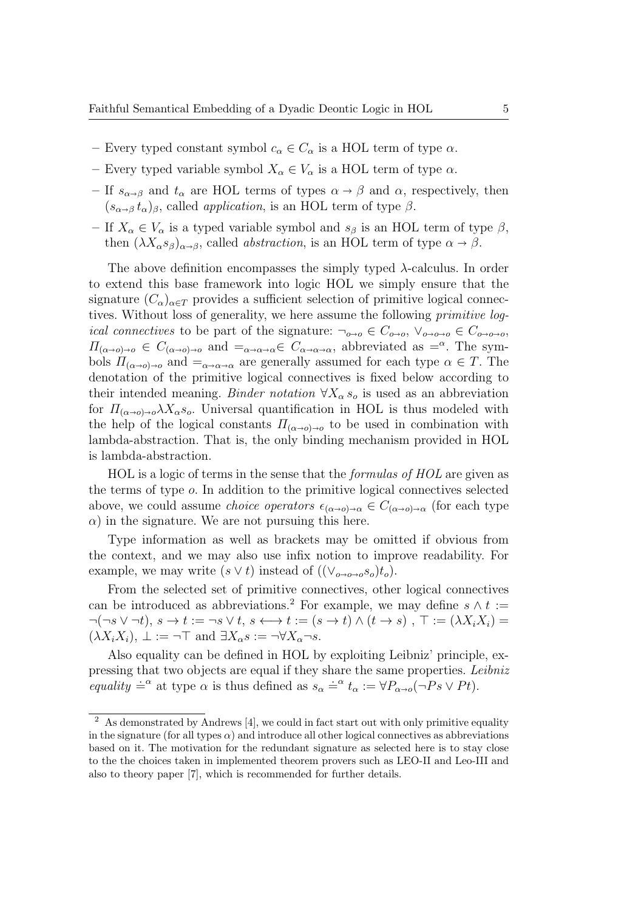- Every typed constant symbol  $c_{\alpha} \in C_{\alpha}$  is a HOL term of type  $\alpha$ .
- Every typed variable symbol  $X_{\alpha} \in V_{\alpha}$  is a HOL term of type  $\alpha$ .
- If  $s_{\alpha\beta}$  and  $t_{\alpha}$  are HOL terms of types  $\alpha \rightarrow \beta$  and  $\alpha$ , respectively, then  $(s_{\alpha\beta} t_{\alpha})_{\beta}$ , called *application*, is an HOL term of type  $\beta$ .
- If  $X_\alpha \in V_\alpha$  is a typed variable symbol and  $s_\beta$  is an HOL term of type  $\beta$ , then  $(\lambda X_{\alpha} s_{\beta})_{\alpha \to \beta}$ , called *abstraction*, is an HOL term of type  $\alpha \to \beta$ .

The above definition encompasses the simply typed  $\lambda$ -calculus. In order to extend this base framework into logic HOL we simply ensure that the signature  $(C_{\alpha})_{\alpha \in T}$  provides a sufficient selection of primitive logical connectives. Without loss of generality, we here assume the following primitive log*ical connectives* to be part of the signature:  $\neg_{o\rightarrow o} \in C_{o\rightarrow o}, \vee_{o\rightarrow o\rightarrow o} \in C_{o\rightarrow o\rightarrow o}$  $\Pi_{(\alpha \to \alpha) \to \alpha} \in C_{(\alpha \to \alpha) \to \alpha}$  and  $=_{\alpha \to \alpha \to \alpha} \in C_{\alpha \to \alpha \to \alpha}$ , abbreviated as  $=^{\alpha}$ . The symbols  $\Pi_{(\alpha\to\alpha)\to\alpha}$  and  $=_{\alpha\to\alpha\to\alpha}$  are generally assumed for each type  $\alpha \in T$ . The denotation of the primitive logical connectives is fixed below according to their intended meaning. Binder notation  $\forall X_{\alpha} s_{\alpha}$  is used as an abbreviation for  $\Pi_{(\alpha\to 0)\to 0}\lambda X_\alpha s_o$ . Universal quantification in HOL is thus modeled with the help of the logical constants  $\Pi_{(\alpha\to 0)\to 0}$  to be used in combination with lambda-abstraction. That is, the only binding mechanism provided in HOL is lambda-abstraction.

HOL is a logic of terms in the sense that the formulas of HOL are given as the terms of type o. In addition to the primitive logical connectives selected above, we could assume *choice operators*  $\epsilon_{(\alpha\to 0)\to\alpha} \in C_{(\alpha\to 0)\to\alpha}$  (for each type  $\alpha$ ) in the signature. We are not pursuing this here.

Type information as well as brackets may be omitted if obvious from the context, and we may also use infix notion to improve readability. For example, we may write  $(s \vee t)$  instead of  $((\vee_{o\rightarrow o\rightarrow o}s_o)t_o)$ .

From the selected set of primitive connectives, other logical connectives can be introduced as abbreviations.<sup>2</sup> For example, we may define  $s \wedge t :=$  $\neg(\neg s \vee \neg t), s \rightarrow t := \neg s \vee t, s \leftrightarrow t := (s \rightarrow t) \wedge (t \rightarrow s)$ ,  $\top := (\lambda X_i X_i) =$  $(\lambda X_i X_i), \perp := \neg \top$  and  $\exists X_\alpha s := \neg \forall X_\alpha \neg s$ .

Also equality can be defined in HOL by exploiting Leibniz' principle, expressing that two objects are equal if they share the same properties. Leibniz equality  $\stackrel{\text{def}}{=} \alpha$  at type  $\alpha$  is thus defined as  $s_{\alpha} \stackrel{\text{def}}{=} t_{\alpha} := \forall P_{\alpha \to o}(\neg Ps \lor Pt)$ .

<sup>2</sup> As demonstrated by Andrews [4], we could in fact start out with only primitive equality in the signature (for all types  $\alpha$ ) and introduce all other logical connectives as abbreviations based on it. The motivation for the redundant signature as selected here is to stay close to the the choices taken in implemented theorem provers such as LEO-II and Leo-III and also to theory paper [7], which is recommended for further details.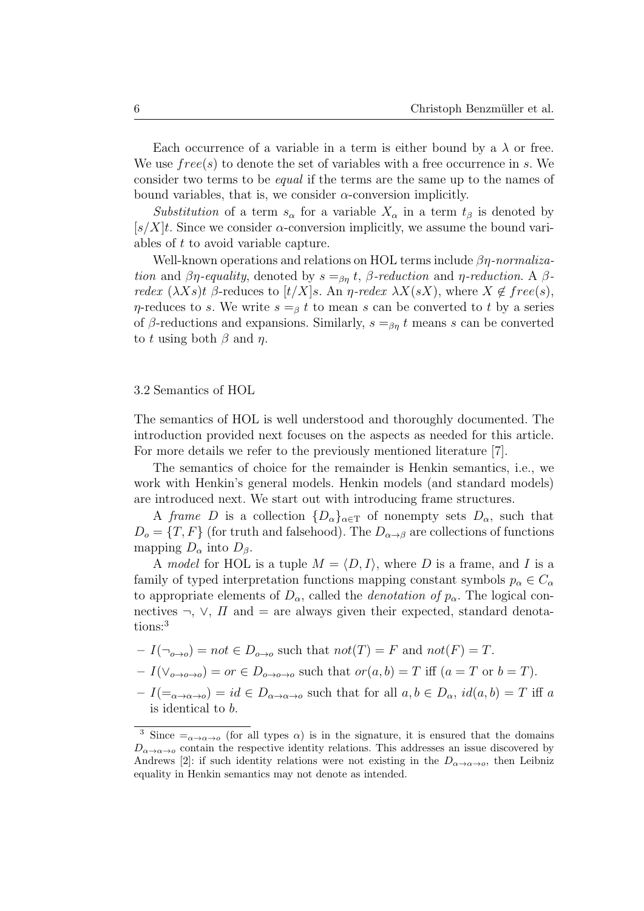Each occurrence of a variable in a term is either bound by a  $\lambda$  or free. We use  $free(s)$  to denote the set of variables with a free occurrence in s. We consider two terms to be equal if the terms are the same up to the names of bound variables, that is, we consider  $\alpha$ -conversion implicitly.

Substitution of a term  $s_{\alpha}$  for a variable  $X_{\alpha}$  in a term  $t_{\beta}$  is denoted by  $[s/X]t$ . Since we consider  $\alpha$ -conversion implicitly, we assume the bound variables of t to avoid variable capture.

Well-known operations and relations on HOL terms include  $\beta\eta$ -normalization and  $\beta\eta$ -equality, denoted by  $s =_{\beta\eta} t$ ,  $\beta$ -reduction and  $\eta$ -reduction. A  $\beta$ redex  $(\lambda Xs)t$  β-reduces to  $[t/X]$ s. An  $\eta$ -redex  $\lambda X(sX)$ , where  $X \notin free(s)$ ,  $\eta$ -reduces to s. We write  $s =_\beta t$  to mean s can be converted to t by a series of β-reductions and expansions. Similarly,  $s =_{\beta n} t$  means s can be converted to t using both  $\beta$  and  $\eta$ .

#### 3.2 Semantics of HOL

The semantics of HOL is well understood and thoroughly documented. The introduction provided next focuses on the aspects as needed for this article. For more details we refer to the previously mentioned literature [7].

The semantics of choice for the remainder is Henkin semantics, i.e., we work with Henkin's general models. Henkin models (and standard models) are introduced next. We start out with introducing frame structures.

A frame D is a collection  $\{D_{\alpha}\}_{{\alpha}\in\mathcal{T}}$  of nonempty sets  $D_{\alpha}$ , such that  $D<sub>o</sub> = {T, F}$  (for truth and falsehood). The  $D<sub>α→β</sub>$  are collections of functions mapping  $D_{\alpha}$  into  $D_{\beta}$ .

A model for HOL is a tuple  $M = \langle D, I \rangle$ , where D is a frame, and I is a family of typed interpretation functions mapping constant symbols  $p_{\alpha} \in C_{\alpha}$ to appropriate elements of  $D_{\alpha}$ , called the *denotation of*  $p_{\alpha}$ . The logical connectives  $\neg$ ,  $\neg$ ,  $\neg$ ,  $\Pi$  and  $=$  are always given their expected, standard denotations:<sup>3</sup>

$$
-I(\neg_{o\to o}) = not \in D_{o\to o} \text{ such that } not(T) = F \text{ and } not(F) = T.
$$

$$
-I(\vee_{o\to o\to o})=or\in D_{o\to o\to o}
$$
 such that  $or(a,b)=T$  iff  $(a=T$  or  $b=T$ ).

 $-I(=_{\alpha\to\alpha\to\alpha})=id\in D_{\alpha\to\alpha\to\alpha}$  such that for all  $a,b\in D_{\alpha}, id(a,b)=T$  iff a is identical to b.

<sup>&</sup>lt;sup>3</sup> Since  $=\alpha \rightarrow \alpha \rightarrow 0$  (for all types  $\alpha$ ) is in the signature, it is ensured that the domains  $D_{\alpha\to\alpha\to\alpha}$  contain the respective identity relations. This addresses an issue discovered by Andrews [2]: if such identity relations were not existing in the  $D_{\alpha\to\alpha\to\alpha}$ , then Leibniz equality in Henkin semantics may not denote as intended.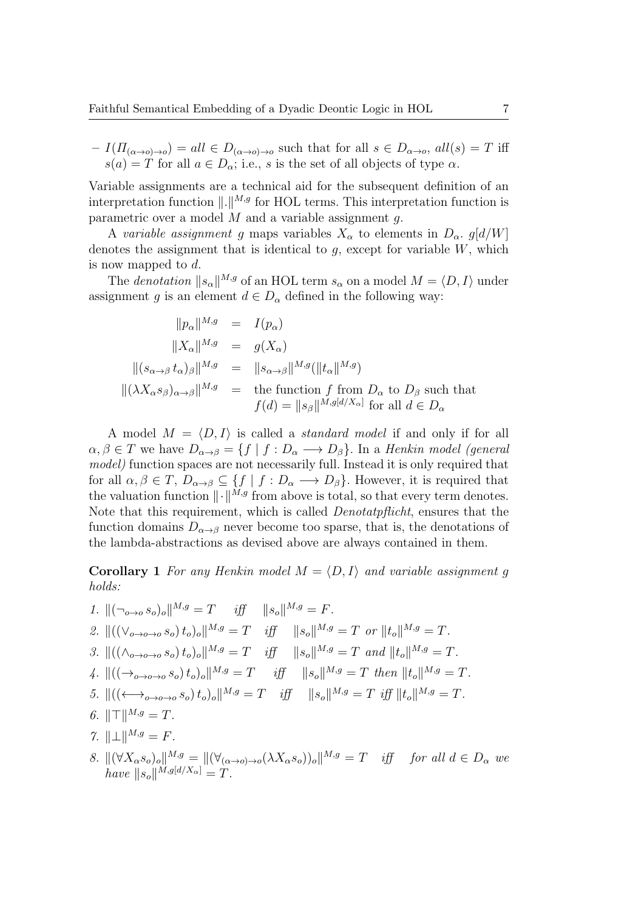$-I(H_{(\alpha\to 0)\to 0})=all \in D_{(\alpha\to 0)\to 0}$  such that for all  $s \in D_{\alpha\to 0}$ , all $(s)=T$  iff  $s(a) = T$  for all  $a \in D_{\alpha}$ ; i.e., s is the set of all objects of type  $\alpha$ .

Variable assignments are a technical aid for the subsequent definition of an interpretation function  $\Vert . \Vert^{M,g}$  for HOL terms. This interpretation function is parametric over a model  $M$  and a variable assignment  $q$ .

A variable assignment g maps variables  $X_{\alpha}$  to elements in  $D_{\alpha}$ . g[d/W] denotes the assignment that is identical to  $g$ , except for variable  $W$ , which is now mapped to d.

The *denotation*  $||s_{\alpha}||^{M,g}$  of an HOL term  $s_{\alpha}$  on a model  $M = \langle D, I \rangle$  under assignment g is an element  $d \in D_{\alpha}$  defined in the following way:

$$
||p_{\alpha}||^{M,g} = I(p_{\alpha})
$$
  
\n
$$
||X_{\alpha}||^{M,g} = g(X_{\alpha})
$$
  
\n
$$
||(s_{\alpha \to \beta} t_{\alpha})_{\beta}||^{M,g} = ||s_{\alpha \to \beta}||^{M,g} (||t_{\alpha}||^{M,g})
$$
  
\n
$$
||(\lambda X_{\alpha} s_{\beta})_{\alpha \to \beta}||^{M,g} = \text{the function } f \text{ from } D_{\alpha} \text{ to } D_{\beta} \text{ such that}
$$
  
\n
$$
f(d) = ||s_{\beta}||^{M,g[d/X_{\alpha}]} \text{ for all } d \in D_{\alpha}
$$

A model  $M = \langle D, I \rangle$  is called a *standard model* if and only if for all  $\alpha, \beta \in T$  we have  $D_{\alpha \to \beta} = \{f \mid f : D_{\alpha} \longrightarrow D_{\beta}\}.$  In a *Henkin model (general* model) function spaces are not necessarily full. Instead it is only required that for all  $\alpha, \beta \in T$ ,  $D_{\alpha \to \beta} \subseteq \{f \mid f : D_{\alpha} \longrightarrow D_{\beta}\}.$  However, it is required that the valuation function  $\Vert \cdot \Vert^{M,g}$  from above is total, so that every term denotes. Note that this requirement, which is called *Denotatpflicht*, ensures that the function domains  $D_{\alpha\to\beta}$  never become too sparse, that is, the denotations of the lambda-abstractions as devised above are always contained in them.

**Corollary 1** For any Henkin model  $M = \langle D, I \rangle$  and variable assignment g holds:

1. 
$$
\|(\neg_{o\to o} s_o)_o\|^{M,g} = T
$$
 iff  $\|s_o\|^{M,g} = F$ .  
\n2.  $\|((\vee_{o\to o\to o} s_o) t_o)_o\|^{M,g} = T$  iff  $\|s_o\|^{M,g} = T$  or  $\|t_o\|^{M,g} = T$ .  
\n3.  $\|((\wedge_{o\to o\to o} s_o) t_o)_o\|^{M,g} = T$  iff  $\|s_o\|^{M,g} = T$  and  $\|t_o\|^{M,g} = T$ .  
\n4.  $\|((\rightarrow_{o\to o\to o} s_o) t_o)_o\|^{M,g} = T$  iff  $\|s_o\|^{M,g} = T$  then  $\|t_o\|^{M,g} = T$ .  
\n5.  $\|((\leftarrow_{o\to o\to o} s_o) t_o)_o\|^{M,g} = T$  iff  $\|s_o\|^{M,g} = T$  iff  $\|t_o\|^{M,g} = T$ .  
\n6.  $\|\top\|^{M,g} = T$ .  
\n7.  $\|\bot\|^{M,g} = F$ .  
\n8.  $\|(\forall X_{\alpha} s_o)_o\|^{M,g} = \|(\forall_{(\alpha\to o)\to o}(\lambda X_{\alpha} s_o))_o\|^{M,g} = T$  iff for all  $d \in D_{\alpha}$  we have  $\|s_o\|^{M,g[d/X_{\alpha}]} = T$ .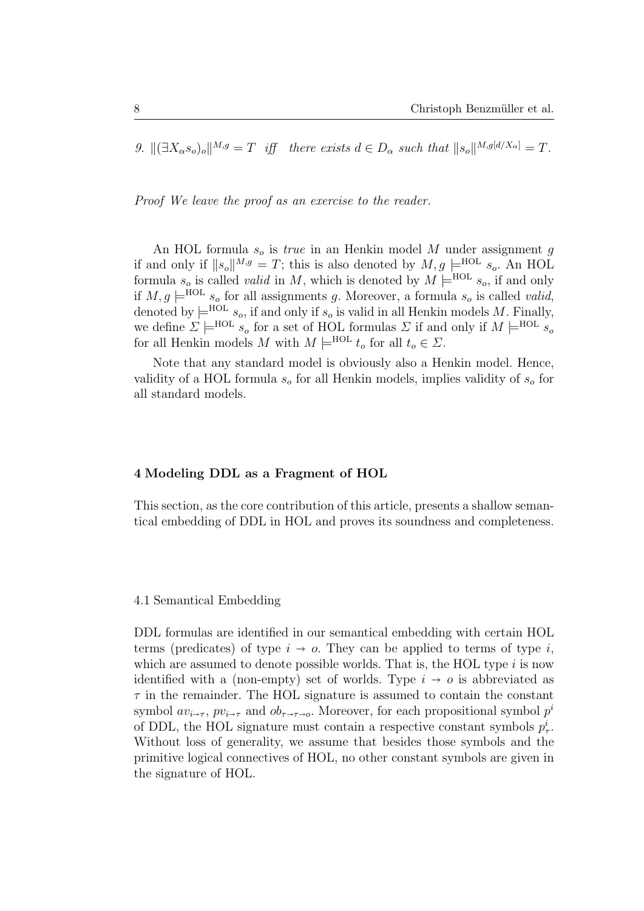9.  $\|(\exists X_{\alpha}s_{o})_{o}\|^{M,g} = T$  iff there exists  $d \in D_{\alpha}$  such that  $\|s_{o}\|^{M,g[d/X_{\alpha}]} = T$ .

Proof We leave the proof as an exercise to the reader.

An HOL formula  $s_o$  is *true* in an Henkin model M under assignment g if and only if  $||s_o||^{M,g} = T$ ; this is also denoted by  $M, g \models^{\text{HOL}} s_o$ . An HOL formula  $s_o$  is called *valid* in M, which is denoted by  $M \models^{\text{HOL}} s_o$ , if and only if  $M, g \models^{\text{HOL}} s_o$  for all assignments g. Moreover, a formula  $s_o$  is called valid, denoted by  $\models^{\text{HOL}} s_o$ , if and only if  $s_o$  is valid in all Henkin models M. Finally, we define  $\Sigma \models^{\text{HOL}} s_o$  for a set of HOL formulas  $\Sigma$  if and only if  $M \models^{\text{HOL}} s_o$ for all Henkin models M with  $M \models^{\text{HOL}} t_o$  for all  $t_o \in \Sigma$ .

Note that any standard model is obviously also a Henkin model. Hence, validity of a HOL formula  $s_0$  for all Henkin models, implies validity of  $s_0$  for all standard models.

#### 4 Modeling DDL as a Fragment of HOL

This section, as the core contribution of this article, presents a shallow semantical embedding of DDL in HOL and proves its soundness and completeness.

#### 4.1 Semantical Embedding

DDL formulas are identified in our semantical embedding with certain HOL terms (predicates) of type  $i \to o$ . They can be applied to terms of type i, which are assumed to denote possible worlds. That is, the HOL type  $i$  is now identified with a (non-empty) set of worlds. Type  $i \rightarrow o$  is abbreviated as  $\tau$  in the remainder. The HOL signature is assumed to contain the constant symbol  $av_{i\rightarrow\tau}$ ,  $pv_{i\rightarrow\tau}$  and  $ob_{\tau\rightarrow\tau\rightarrow o}$ . Moreover, for each propositional symbol  $p^i$ of DDL, the HOL signature must contain a respective constant symbols  $p_{\tau}^i$ . Without loss of generality, we assume that besides those symbols and the primitive logical connectives of HOL, no other constant symbols are given in the signature of HOL.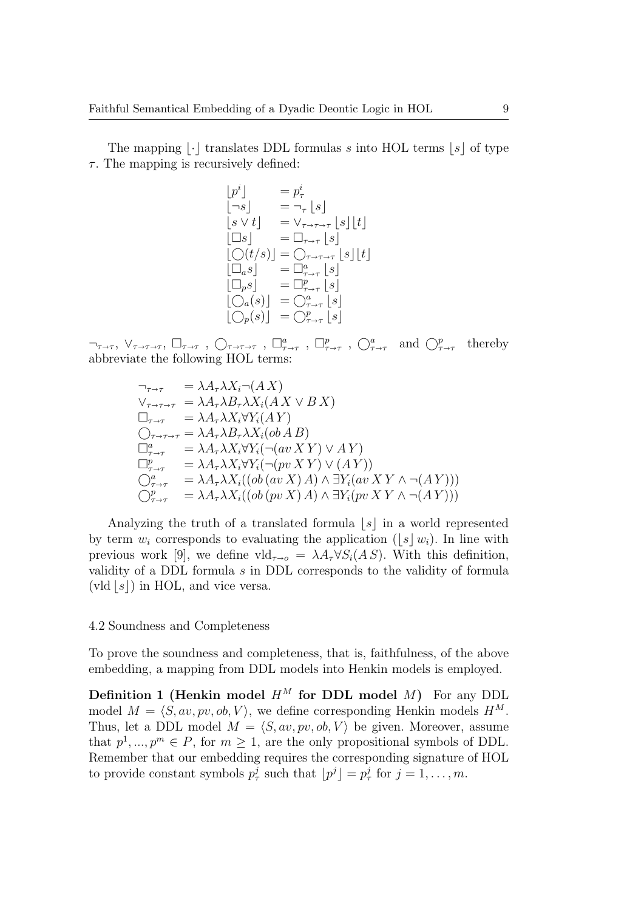The mapping  $\lvert \cdot \rvert$  translates DDL formulas s into HOL terms  $\lvert s \rvert$  of type  $\tau$ . The mapping is recursively defined:

$$
p^{i} = p^{i}
$$
  
\n
$$
[-s] = \neg_{\tau} [s]
$$
  
\n
$$
[s \vee t] = \vee_{\tau \to \tau \to \tau} [s][t]
$$
  
\n
$$
[\Box s] = \Box_{\tau \to \tau} [s]
$$
  
\n
$$
[\bigcirc(t/s)] = \bigcirc_{\tau \to \tau \to \tau} [s][t]
$$
  
\n
$$
[\Box_{a}s] = \Box_{\tau \to \tau}^{a} [s]
$$
  
\n
$$
[\Box_{p}s] = \Box_{\tau \to \tau}^{p} [s]
$$
  
\n
$$
[\bigcirc_{a}(s)] = \bigcirc_{\tau \to \tau}^{a} [s]
$$
  
\n
$$
[\bigcirc_{p}(s)] = \bigcirc_{\tau \to \tau}^{p} [s]
$$

 $\neg_{\tau \to \tau}, \vee_{\tau \to \tau \to \tau}, \Box_{\tau \to \tau}, \bigcirc_{\tau \to \tau}, \Box_{\tau \to \tau}^a, \Box_{\tau \to \tau}^p, \bigcirc_{\tau \to \tau}^a$  and  $\bigcirc_{\tau \to \tau}^p$  thereby abbreviate the following HOL terms:

$$
\begin{aligned}\n\gamma_{\tau \to \tau} &= \lambda A_{\tau} \lambda X_{i} \neg (AX) \\
\forall_{\tau \to \tau \to \tau} &= \lambda A_{\tau} \lambda B_{\tau} \lambda X_{i} (AX \lor BX) \\
\Box_{\tau \to \tau} &= \lambda A_{\tau} \lambda X_{i} \forall Y_{i} (AY) \\
\bigcirc_{\tau \to \tau \to \tau} &= \lambda A_{\tau} \lambda B_{\tau} \lambda X_{i} (ob AB) \\
\Box_{\tau \to \tau}^{a} &= \lambda A_{\tau} \lambda X_{i} \forall Y_{i} (\neg (av XY) \lor AY) \\
\Box_{\tau \to \tau}^{p} &= \lambda A_{\tau} \lambda X_{i} \forall Y_{i} (\neg (pv XY) \lor (AY)) \\
\bigcirc_{\tau \to \tau}^{a} &= \lambda A_{\tau} \lambda X_{i} ((ob (av X) A) \land \exists Y_{i} (av XY \land \neg (AY))) \\
\bigcirc_{\tau \to \tau}^{p} &= \lambda A_{\tau} \lambda X_{i} ((ob (pv X) A) \land \exists Y_{i} (pv XY \land \neg (AY)))\n\end{aligned}
$$

Analyzing the truth of a translated formula  $|s|$  in a world represented by term  $w_i$  corresponds to evaluating the application (|s|w<sub>i</sub>). In line with previous work [9], we define  $\text{vld}_{\tau\to o} = \lambda A_\tau \forall S_i(A\,S)$ . With this definition, validity of a DDL formula s in DDL corresponds to the validity of formula (vld  $|s|$ ) in HOL, and vice versa.

#### 4.2 Soundness and Completeness

To prove the soundness and completeness, that is, faithfulness, of the above embedding, a mapping from DDL models into Henkin models is employed.

Definition 1 (Henkin model  $H^M$  for DDL model  $M$ ) For any DDL model  $M = \langle S, av, pv, ob, V \rangle$ , we define corresponding Henkin models  $H^M$ . Thus, let a DDL model  $M = \langle S, av, pv, ob, V \rangle$  be given. Moreover, assume that  $p^1, ..., p^m \in P$ , for  $m \ge 1$ , are the only propositional symbols of DDL. Remember that our embedding requires the corresponding signature of HOL to provide constant symbols  $p^j_\tau$  such that  $\lfloor p^j \rfloor = p^j_\tau$  for  $j = 1, \ldots, m$ .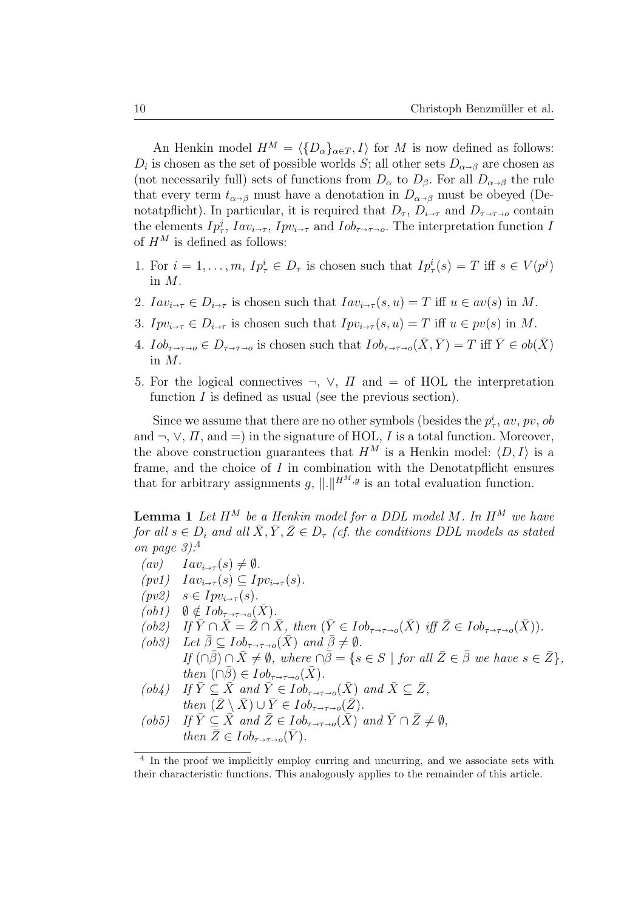An Henkin model  $H^M = \langle \{D_\alpha\}_{\alpha \in T} , I \rangle$  for M is now defined as follows:  $D_i$  is chosen as the set of possible worlds S; all other sets  $D_{\alpha\beta}$  are chosen as (not necessarily full) sets of functions from  $D_{\alpha}$  to  $D_{\beta}$ . For all  $D_{\alpha\beta}$  the rule that every term  $t_{\alpha\beta}$  must have a denotation in  $D_{\alpha\beta}$  must be obeyed (Denotatpflicht). In particular, it is required that  $D_{\tau}, D_{i\to\tau}$  and  $D_{\tau\to\tau\to\varrho}$  contain the elements  $Ip^j_\tau$ ,  $Iav_{i\to\tau}$ ,  $Ipv_{i\to\tau}$  and  $Iob_{\tau\to\tau\to o}$ . The interpretation function I of  $H^M$  is defined as follows:

- 1. For  $i = 1, ..., m$ ,  $I p_{\tau}^{i} \in D_{\tau}$  is chosen such that  $I p_{\tau}^{i}(s) = T$  iff  $s \in V(p^{j})$ in M.
- 2.  $Iav_{i\rightarrow\tau} \in D_{i\rightarrow\tau}$  is chosen such that  $Iav_{i\rightarrow\tau}(s, u) = T$  iff  $u \in av(s)$  in M.
- 3.  $Ipv_{i\rightarrow\tau} \in D_{i\rightarrow\tau}$  is chosen such that  $Ipv_{i\rightarrow\tau}(s, u) = T$  iff  $u \in pv(s)$  in M.
- 4.  $I \circ b_{\tau \to \tau \to o} \in D_{\tau \to \tau \to o}$  is chosen such that  $I \circ b_{\tau \to \tau \to o}(\bar{X}, \bar{Y}) = T$  iff  $\bar{Y} \in \overline{ob}(\bar{X})$ in M.
- 5. For the logical connectives  $\neg$ ,  $\vee$ ,  $\Pi$  and  $=$  of HOL the interpretation function  $I$  is defined as usual (see the previous section).

Since we assume that there are no other symbols (besides the  $p_{\tau}^{i}$ , av, pv, ob and  $\neg, \vee, \Pi$ , and  $=$ ) in the signature of HOL, I is a total function. Moreover, the above construction guarantees that  $H^M$  is a Henkin model:  $\langle D, I \rangle$  is a frame, and the choice of I in combination with the Denotatpflicht ensures that for arbitrary assignments g,  $\|\cdot\|^{H^M,g}$  is an total evaluation function.

**Lemma 1** Let  $H^M$  be a Henkin model for a DDL model M. In  $H^M$  we have for all  $s \in D_i$  and all  $\bar{X}, \bar{Y}, \bar{Z} \in D_{\tau}$  (cf. the conditions DDL models as stated on page  $3$ ):<sup>4</sup>

- $(av)$   $Iav_{i\rightarrow \tau}(s) \neq \emptyset$ .
- $(pv1)$   $Iav_{i\rightarrow\tau}(s) \subseteq Ipv_{i\rightarrow\tau}(s)$ .
- $(pv2)$   $s \in Ipv_{i \to \tau}(s)$ .
- $(obj)$   $\emptyset \notin Iob_{\tau \to \tau \to o}(\bar{X}).$
- $(ob2)$  If  $\overline{Y} \cap \overline{X} = \overline{Z} \cap \overline{X}$ , then  $(\overline{Y} \in Iob_{\tau \to \tau \to o}(\overline{X})$  iff  $\overline{Z} \in Iob_{\tau \to \tau \to o}(\overline{X})$ ).

(ob3) Let  $\overline{\beta} \subset Iob_{\tau \to \tau \to o}(\overline{X})$  and  $\overline{\beta} \neq \emptyset$ . If  $(\cap \bar{\beta}) \cap \bar{X} \neq \emptyset$ , where  $\cap \bar{\beta} = \{s \in S \mid \text{for all } \bar{Z} \in \bar{\beta} \text{ we have } s \in \bar{Z}\}\$ , then  $(\cap \overline{\beta}) \in Iob_{\tau \to \tau \to o}(\overline{X}).$ 

- $(ob4)$  If  $\overline{Y} \subseteq \overline{X}$  and  $\overline{Y} \in Iob_{\tau \to \tau \to o}(\overline{X})$  and  $\overline{X} \subseteq \overline{Z}$ , then  $(\bar{Z} \setminus \bar{X}) \cup \bar{Y} \in Iob_{\tau \to \tau \to o}(\bar{Z}).$
- (ob5) If  $\bar{Y} \subseteq \bar{X}$  and  $\bar{Z} \in Iob_{\tau \to \tau \to o}(\bar{X})$  and  $\bar{Y} \cap \bar{Z} \neq \emptyset$ , then  $\bar{Z} \in Iob_{\tau \to \tau \to o}(\bar{Y})$ .

<sup>&</sup>lt;sup>4</sup> In the proof we implicitly employ curring and uncurring, and we associate sets with their characteristic functions. This analogously applies to the remainder of this article.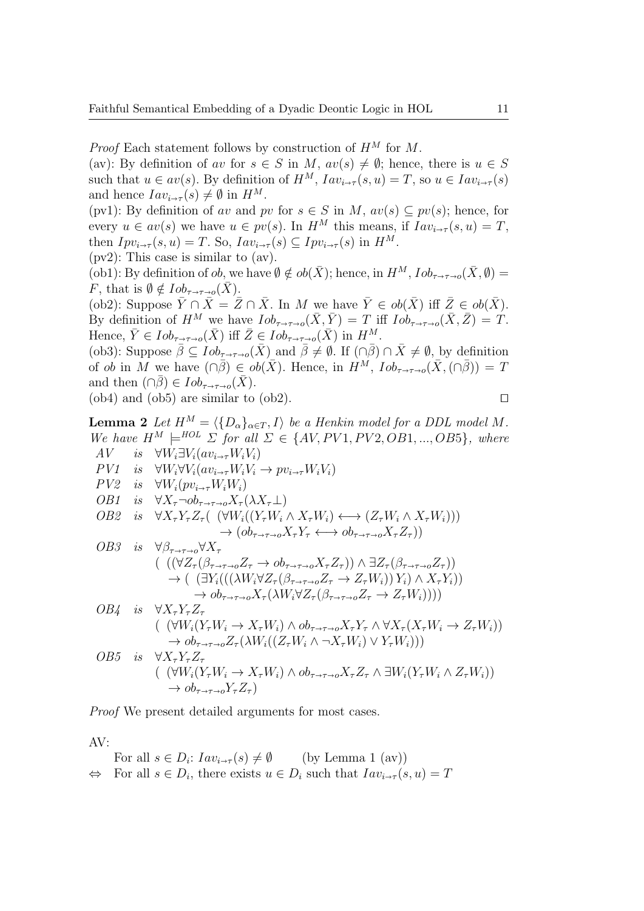*Proof* Each statement follows by construction of  $H^M$  for M.

(av): By definition of av for  $s \in S$  in M,  $av(s) \neq \emptyset$ ; hence, there is  $u \in S$ such that  $u \in av(s)$ . By definition of  $H^M$ ,  $Iav_{i\rightarrow\tau}(s, u) = T$ , so  $u \in Iav_{i\rightarrow\tau}(s)$ and hence  $Iav_{i\rightarrow\tau}(s) \neq \emptyset$  in  $H^M$ .

(pv1): By definition of av and pv for  $s \in S$  in M,  $av(s) \subseteq pv(s)$ ; hence, for every  $u \in av(s)$  we have  $u \in pv(s)$ . In  $H^M$  this means, if  $Iav_{i\to\tau}(s, u) = T$ , then  $Ipv_{i\rightarrow\tau}(s, u) = T$ . So,  $Iav_{i\rightarrow\tau}(s) \subseteq Ipv_{i\rightarrow\tau}(s)$  in  $H^M$ .

(pv2): This case is similar to (av).

(ob1): By definition of ob, we have  $\emptyset \notin ob(\bar{X})$ ; hence, in  $H^M$ ,  $\text{Iob}_{\tau \to \tau \to o}(\bar{X}, \emptyset) =$ F, that is  $\emptyset \notin \text{Iob}_{\tau \to \tau \to o}(X)$ .

(ob2): Suppose  $\overline{Y} \cap \overline{X} = \overline{Z} \cap \overline{X}$ . In M we have  $\overline{Y} \in ob(\overline{X})$  iff  $\overline{Z} \in ob(\overline{X})$ . By definition of  $H^M$  we have  $Iob_{\tau \to \tau \to 0}(\bar{X}, \bar{Y}) = T$  iff  $Iob_{\tau \to \tau \to 0}(\bar{X}, \bar{Z}) = T$ . Hence,  $\overline{Y} \in Iob_{\tau \to \tau \to o}(\overline{X})$  iff  $\overline{Z} \in Iob_{\tau \to \tau \to o}(\overline{X})$  in  $H^M$ .

(ob3): Suppose  $\bar{\beta} \subseteq \text{Iob}_{\tau \to \tau \to o}(\bar{X})$  and  $\bar{\beta} \neq \emptyset$ . If  $(\cap \bar{\beta}) \cap \bar{X} \neq \emptyset$ , by definition of ob in M we have  $(\cap \bar{\beta}) \in ob(\bar{X})$ . Hence, in  $H^M$ ,  $\text{Iob}_{\tau \to \tau \to o}(\bar{X}, (\cap \bar{\beta})) = T$ and then  $(\cap \beta) \in Iob_{\tau \to \tau \to o}(X)$ .

(ob4) and (ob5) are similar to (ob2).  $\square$ 

**Lemma 2** Let  $H^M = \langle \{D_\alpha\}_{\alpha \in T} , I \rangle$  be a Henkin model for a DDL model M. We have  $H^M \models^{HOL} \Sigma$  for all  $\Sigma \in \{AV, PV1, PV2, OB1, ..., OB5\}$ , where AV is  $\forall W_i \exists V_i (a v_{i \rightarrow \tau} W_i V_i)$  $PVI$  is  $\forall W \forall V$ (av  $WV$ ) →  $WV$ 

$$
PVI
$$
 is  $\forall W_i \lor V_i (av_{i\to \tau} W_i V_i \rightarrow pv_{i\to \tau} W_i V_i)$   
\n $PV2$  is  $\forall W_i (pv_{i\to \tau} W_i W_i)$   
\n $OB1$  is  $\forall X_{\tau} \neg ob_{\tau \to \tau \to o} X_{\tau} (\lambda X_{\tau} \bot)$   
\n $OB2$  is  $\forall X_{\tau} Y_{\tau} Z_{\tau} ((\forall W_i ((Y_{\tau} W_i \land X_{\tau} W_i) \leftrightarrow (Z_{\tau} W_i \land X_{\tau} W_i)))$   
\n $\rightarrow (ob_{\tau \to \tau \to o} X_{\tau} Y_{\tau} \leftrightarrow ob_{\tau \to \tau \to o} X_{\tau} Z_{\tau}))$   
\n $OB3$  is  $\forall \beta_{\tau \to \tau \to o} \forall X_{\tau}$   
\n $(((\forall Z_{\tau} (\beta_{\tau \to \tau \to o} Z_{\tau} \rightarrow ob_{\tau \to \tau \to o} X_{\tau} Z_{\tau}))) \land \exists Z_{\tau} (\beta_{\tau \to \tau \to o} Z_{\tau}))$   
\n $\rightarrow ((\exists Y_i (((\lambda W_i \forall Z_{\tau} (\beta_{\tau \to \tau \to o} Z_{\tau} \rightarrow Z_{\tau} W_i))) Y_i) \land X_{\tau} Y_i))$   
\n $\rightarrow ob_{\tau \to \tau \to o} X_{\tau} (\lambda W_i \forall Z_{\tau} (\beta_{\tau \to \tau \to o} Z_{\tau} \rightarrow Z_{\tau} W_i))))$   
\n $OB4$  is  $\forall X_{\tau} Y_{\tau} Z_{\tau}$   
\n $((\forall W_i (Y_{\tau} W_i \rightarrow X_{\tau} W_i) \land ob_{\tau \to \tau \to o} X_{\tau} Y_{\tau} \land \forall X_{\tau} (X_{\tau} W_i \rightarrow Z_{\tau} W_i))$   
\n $\rightarrow ob_{\tau \to \tau \to o} Z_{\tau} (\lambda W_i ((Z_{\tau} W_i \land \neg X_{\tau} W_i) \lor Y_{\tau} W_i)))$   
\n $OB5$  is  $\forall X_{\tau} Y_{\tau} Z_{\tau}$   
\n $((\forall W_i (Y_{\tau} W_i \rightarrow X_{\tau} W$ 

Proof We present detailed arguments for most cases.

AV:

For all  $s \in D_i$ :  $Iav_{i \to \tau}(s) \neq \emptyset$  $(by Lemma 1 (av))$  $\Leftrightarrow$  For all  $s \in D_i$ , there exists  $u \in D_i$  such that  $Iav_{i \to \tau}(s, u) = T$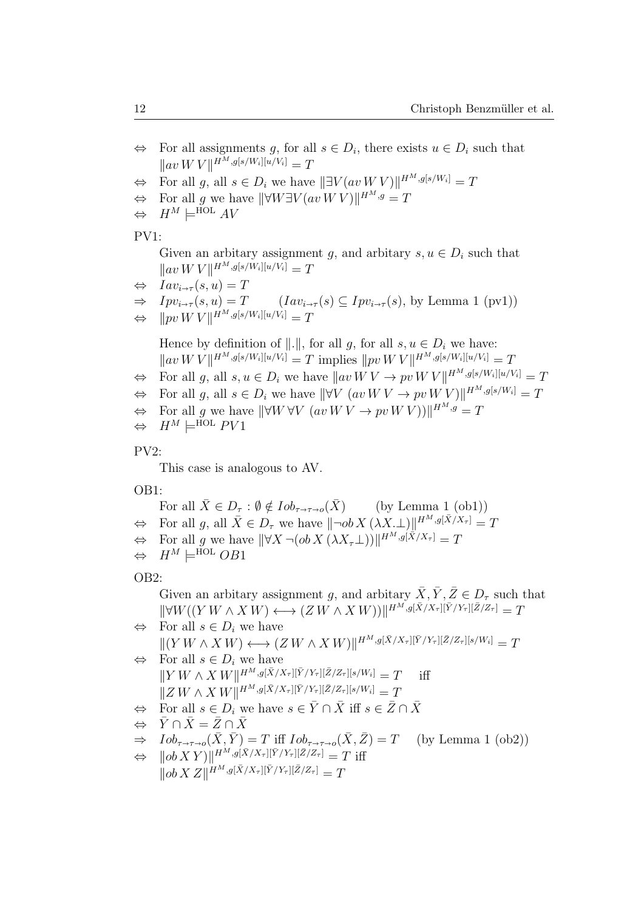- $\Leftrightarrow$  For all assignments g, for all  $s \in D_i$ , there exists  $u \in D_i$  such that  $\|av W V\|^{H^M, g[s/W_i][u/V_i]} = T$
- $\Leftrightarrow$  For all  $g$ , all  $s \in D_i$  we have  $||\exists V(avWV)||^{H^M,g[s/W_i]} = T$
- $\Leftrightarrow$  For all g we have  $\|\forall W\exists V (av\, W\, V)\|^{H^M,g}=T$
- $\Leftrightarrow$   $H^M \models^{\text{HOL}} AV$

## PV1:

Given an arbitary assignment g, and arbitary  $s, u \in D_i$  such that  $\|av W V\|^{H^M, g[s/W_i][u/V_i]} = T$ 

$$
\Leftrightarrow \quad Iav_{i\to\tau}(s, u) = T
$$

$$
\Rightarrow \quad Ipv_{i\to\tau}(s,u) = T \quad (Iav_{i\to\tau}(s) \subseteq Ipv_{i\to\tau}(s), \text{ by Lemma 1 (pv1)})
$$

$$
\Leftrightarrow \t \|pv \, W \, V\|^{H^M, g[s/W_i][u/V_i]} = T
$$

Hence by definition of  $\Vert . \Vert$ , for all g, for all  $s, u \in D_i$  we have:  $\| av W V \|^{H^M, g[s/W_i][u/V_i]} = T$  implies  $\| pv W V \|^{H^M, g[s/W_i][u/V_i]} = T$  $\Leftrightarrow$  For all g, all  $s, u \in D_i$  we have  $||av W V \rightarrow pv W V ||^{H^M, g[s/W_i][u/V_i]} = T$ 

$$
\Leftrightarrow \text{ For all } g \text{, all } s \in D_i \text{ we have } ||\forall V \ (av \ W \ V \rightarrow pv \ W \ V)||^{H^M, g[s/W_i]} = T
$$

 $\Leftrightarrow$  For all g we have  $\|\forall W \forall V \ (av \ W \ \rightarrow pv \ W \ V) \|\|_{H^M, g} = T$ 

$$
\Leftrightarrow H^M \models^{\text{HOL}} PV1
$$

## PV2:

This case is analogous to AV.

OB1:

For all  $\bar{X} \in D_{\tau} : \emptyset \notin Iob_{\tau \to \tau \to o}(\bar{X})$  (by Lemma 1 (ob1))  $\Leftrightarrow$  For all  $g$ , all  $\bar{X} \in D_{\tau}$  we have  $\|\neg ob X(\lambda X.\bot)\|^{H^M, g[\bar{X}/X_{\tau}]} = T$  $\Leftrightarrow$  For all g we have  $\|\forall X \neg (ob X \, (\lambda X_{\tau} \bot))\|^{H^M, g[\bar{X}/X_{\tau}]} = T$  $\Leftrightarrow$   $H^M \models^{\text{HOL}} OB1$ 

# OB2:

Given an arbitary assignment g, and arbitary  $\bar{X}, \bar{Y}, \bar{Z} \in D_{\tau}$  such that  $\|\forall W((Y W \wedge X W) \longleftrightarrow (Z W \wedge X W))\|^{H^M, g[\bar{X}/X_{\tau}][\bar{Y}/Y_{\tau}][\bar{Z}/Z_{\tau}]} = T$ 

 $\Leftrightarrow$  For all  $s \in D_i$  we have  $||(Y W \wedge X W) \longleftrightarrow (Z W \wedge X W)||^{H^M, g[\bar{X}/X_{\tau}][\bar{Y}/Y_{\tau}][\bar{Z}/Z_{\tau}][s/W_i]} = T$  $\Leftrightarrow$  For all  $s \in D_i$  we have  $\|YW \wedge X W\|^{H^M, g[\bar{X}/X_\tau][\bar{Y}/Y_\tau][\bar{Z}/Z_\tau][s/W_i]} = T$  iff

$$
||Z W \wedge X W||^{H^M, g[\bar{X}/X_{\tau}][\bar{Y}/Y_{\tau}][\bar{Z}/Z_{\tau}][s/W_i]} = T
$$

- $\Leftrightarrow$  For all  $s \in D_i$  we have  $s \in \bar{Y} \cap \bar{X}$  iff  $s \in \bar{Z} \cap \bar{X}$
- $\Leftrightarrow \quad \bar{Y} \cap \bar{X} = \bar{Z} \cap \bar{X}$

$$
\Rightarrow \quad Iob_{\tau \to \tau \to o}(\bar{X}, \bar{Y}) = T \text{ iff } Iob_{\tau \to \tau \to o}(\bar{X}, \bar{Z}) = T \quad \text{(by Lemma 1 (ob2))}
$$

 $\Leftrightarrow \quad ||ob\,XY)||^{H^M,g[\bar{X}/X_\tau][\bar{Y}/Y_\tau][\bar{Z}/Z_\tau]} = T \text{ iff}$ 

$$
\|ob\,X\,Z\|^{H^M,g[\bar{X}/X_\tau][\bar{Y}/Y_\tau][\bar{Z}/Z_\tau]}=T
$$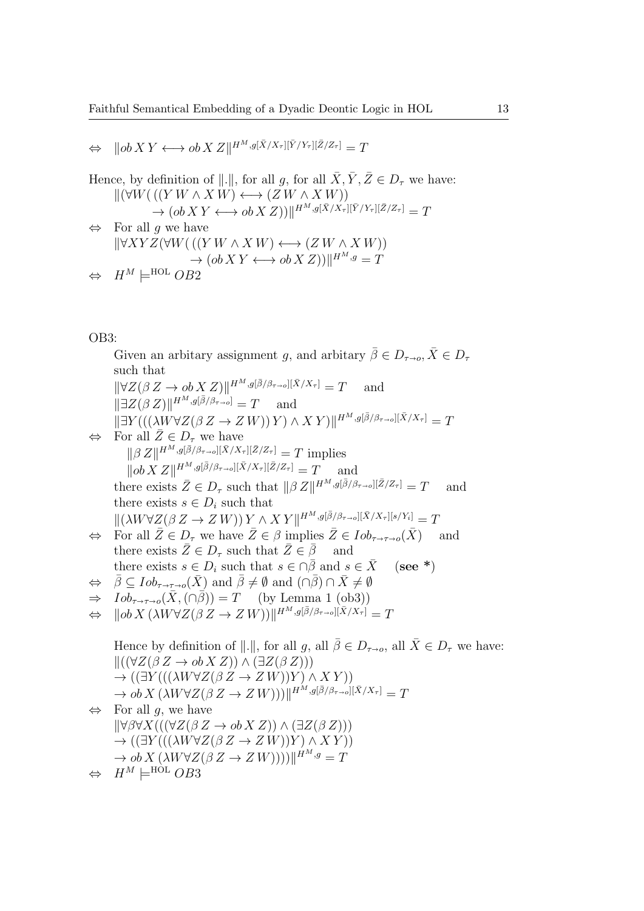$\Leftrightarrow \ \|\ob{X}Y \longleftrightarrow \ob{X}Z\|^{H^M,g[\bar{X}/X_\tau][\bar{Y}/Y_\tau][\bar{Z}/Z_\tau]} = T$ 

Hence, by definition of  $\Vert . \Vert$ , for all g, for all  $\overline{X}, \overline{Y}, \overline{Z} \in D_{\tau}$  we have:  $\Vert (\forall W((Y W \wedge X W) \longleftrightarrow (Z W \wedge X W))$  $\rightarrow (ob\,XY\longleftrightarrow ob\,X\,Z))\|^{H^M,g[\bar{X}/X_\tau][\bar{Y}/Y_\tau][\bar{Z}/Z_\tau]}=T$  $\Leftrightarrow$  For all g we have  $\Vert \forall XYZ(\forall W(((Y W \wedge X W) \longleftrightarrow (ZW \wedge X W))$  $\rightarrow (ob X Y \longleftrightarrow ob X Z))||^{H^M,g} = T$  $H^M \models^{\text{HOL}} OB2$ 

## OB3:

Given an arbitary assignment g, and arbitary  $\bar{\beta} \in D_{\tau \to o}, \bar{X} \in D_{\tau}$ such that  $\|\forall Z(\beta Z \to ob X Z)\|^{H^M, g[\bar{\beta}/\beta_{\tau \to o}][\bar{X}/X_{\tau}]} = T$  and  $\|\exists Z(\beta Z)\|^{H^M,g[\bar{\beta}/\beta_{\tau\to o}]}=T$  and  $\|\exists Y (((\lambda W\forall Z(\beta Z \rightarrow Z W)) Y) \wedge XY)\|^{H^M,g[\bar{\beta}/\beta_{\tau\rightarrow 0}][\bar{X}/X_{\tau}]} = T$  $\Leftrightarrow$  For all  $\overline{Z} \in D_{\tau}$  we have  $\|\beta Z\|^{H^M,g[\bar{\beta}/\beta_{\tau\to 0}][\bar{X}/X_{\tau}][\bar{Z}/Z_{\tau}]}=T$  implies  $\|\partial X Z\|^{H^M, g[\bar{\beta}/\beta_{\tau\to 0}][\bar{X}/X_{\tau}][\bar{Z}/Z_{\tau}]} = T$  and there exists  $\bar{Z} \in D_{\tau}$  such that  $||\beta Z||^{H^M, g[\bar{\beta}/\beta_{\tau \to 0}][\bar{Z}/Z_{\tau}]} = T$  and there exists  $s \in D_i$  such that  $\|(\lambda W \forall Z (\beta Z \to Z W)) Y \wedge X Y \|^{H^M, g[\bar{\beta}/\beta_{\tau \to \sigma}][\bar{X}/X_{\tau}][s/Y_i]} = T$  $\Leftrightarrow$  For all  $\overline{Z} \in D_{\tau}$  we have  $\overline{Z} \in \beta$  implies  $\overline{Z} \in Iob_{\tau \to \tau \to o}(\overline{X})$  and there exists  $\bar{Z} \in D_{\tau}$  such that  $\bar{Z} \in \bar{\beta}$  and there exists  $s \in D_i$  such that  $s \in \overline{\beta}$  and  $s \in \overline{X}$  (see \*)  $\Leftrightarrow \quad \bar{\beta} \subseteq \text{Iob}_{\tau \to \tau \to o}(\bar{X}) \text{ and } \bar{\beta} \neq \emptyset \text{ and } (\cap \bar{\beta}) \cap \bar{X} \neq \emptyset$  $\Rightarrow$   $Iob_{\tau \to \tau \to o}(\bar{X}, (\cap \bar{\beta})) = T$  (by Lemma 1 (ob3))  $\Leftrightarrow \quad ||ob\,X\,(\lambda W \forall Z (\beta\,Z \to Z\,W))]||^{H^M,g[\bar{\beta}/\beta_{\tau\to o}][\bar{X}/X_\tau]} = T$ Hence by definition of  $\Vert . \Vert$ , for all  $q$ , all  $\overline{\beta} \in D_{\tau \to 0}$ , all  $\overline{X} \in D_{\tau}$  we have:  $\|((\forall Z(\beta Z \rightarrow ob X Z)) \wedge (\exists Z(\beta Z)))\|$  $\rightarrow$  (( $\exists Y (((\lambda W \forall Z (\beta Z \rightarrow Z W)) Y) \wedge XY))$  $\rightarrow ob\, X \, (\lambda W \forall Z (\beta\, Z \rightarrow Z\, W)))\|^{H^M,g [\bar{\beta}/\beta_{\tau \rightarrow o}][\bar{X}/X_\tau]} = T$  $\Leftrightarrow$  For all q, we have  $\forall \beta \forall X (((\forall Z(\beta Z \rightarrow ob X Z)) \wedge (\exists Z(\beta Z)))$  $\rightarrow$  (( $\exists Y$ ((( $\lambda W \forall Z (\beta Z \rightarrow Z W)$ )Y)  $\wedge XY$ ))  $\rightarrow ob X \left( \lambda W \forall Z (\beta Z \rightarrow Z W)) \right) ||^{H^M,g} = T$  $\Leftrightarrow$   $H^M \models^{\text{HOL}} OB3$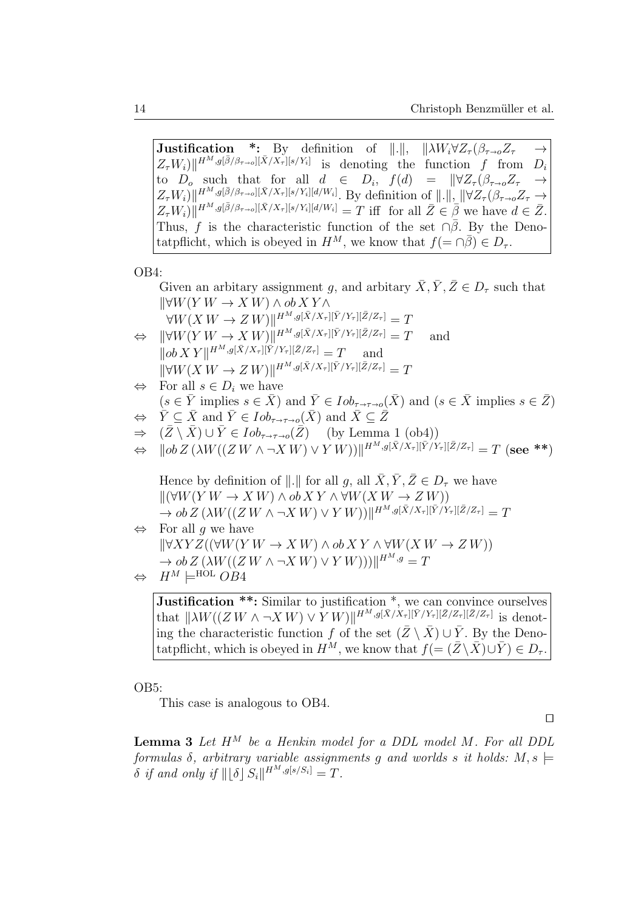**Justification** \*: By definition of  $\|.\|$ ,  $\| \lambda W_i \forall Z_\tau (\beta_{\tau \to o} Z_\tau \rightarrow$ <br> $Z_{\tau} W_i \vee \| H^M e^{(\bar{\beta}/\beta_{\tau \to o})[\bar{\chi}/\chi_{\tau}][s/\chi_{\tau}]}$  $Z_{\tau}W_i\|\mathbf{H}^{M},g[\bar{\beta}/\beta_{\tau\to 0}][\bar{X}/X_{\tau}][s/Y_i]$  is denoting the function f from  $D_i$ to  $D_o$  such that for all  $d \in D_i$ ,  $f(d) = ||\forall Z_\tau(\beta_{\tau\to o}Z_\tau \rightarrow Z_{\tau\to o}Z_i||\mathcal{F}/\mathcal{F}||H^M e^{i\beta/\beta_{\tau\to o}|\mathcal{F}/\mathcal{F}||g/\mathcal{F}||d/\mathcal{W}||}$  $Z_{\tau}W_i\|\mathbf{H}^{M},g[\bar{\beta}/\beta_{\tau\to o}][\bar{X}/X_{\tau}][s/Y_i][d/W_i]$ . By definition of  $\|\cdot\|$ ,  $\|\forall Z_{\tau}(\beta_{\tau\to o}Z_{\tau}\rightarrow$  $Z_{\tau}W_i\|\mathbf{H}^{M},g[\bar{\beta}/\beta_{\tau\to o}][\bar{X}/X_{\tau}][s/Y_i][d/W_i] = T$  iff for all  $\bar{Z}\in\bar{\beta}$  we have  $d\in\bar{Z}$ . Thus, f is the characteristic function of the set  $\cap \overline{\beta}$ . By the Denotatpflicht, which is obeyed in  $H^M$ , we know that  $f(=\cap\overline{\beta})\in D_\tau$ .

OB4:

Given an arbitary assignment g, and arbitary  $\bar{X}, \bar{Y}, \bar{Z} \in D_{\tau}$  such that  $\forall W(Y W \rightarrow X W) \land ob XY \land$  $\forall W(X\,W\to Z\,W)\Vert^{H^M,g[\bar X/X_\tau][\bar Y/Y_\tau][\bar Z/Z_\tau]}=T$  $\Leftrightarrow \|\forall W(Y|W\rightarrow X|W)\|^{H^M,g[\bar{X}/X_{\tau}][\bar{Y}/Y_{\tau}][\bar{Z}/Z_{\tau}]}=T \quad \text{and}$  $\|\partial b X Y\|^{H^M, g[\bar{X}/X_{\tau}][\bar{Y}/Y_{\tau}][\bar{Z}/Z_{\tau}]} = T$  and  $\|\forall W(X W \to Z W)\|^{H^M, g[\bar{X}/X_{\tau}][\bar{Y}/Y_{\tau}][\bar{Z}/Z_{\tau}]} = T$  $\Leftrightarrow$  For all  $s \in D_i$  we have  $(s \in \overline{Y}$  implies  $s \in \overline{X}$ ) and  $\overline{Y} \in Iob_{\tau \to \tau \to o}(\overline{X})$  and  $(s \in \overline{X}$  implies  $s \in \overline{Z}$ )  $\Leftrightarrow \overline{Y} \subseteq \overline{X}$  and  $\overline{Y} \in Iob_{\tau \to \tau \to o}(\overline{X})$  and  $\overline{X} \subseteq \overline{Z}$ <br>  $\Rightarrow (\overline{Z} \setminus \overline{X}) \cup \overline{Y} \in Iob_{\tau \to \tau \to o}(\overline{Z})$  (by Lemma  $\Rightarrow$   $(\bar{Z} \setminus \bar{X}) \cup \bar{Y} \in Iob_{\tau \to \tau \to o}(\bar{Z})$  (by Lemma 1 (ob4))<br>  $\Leftrightarrow$   $||ob Z (\lambda W((ZW \wedge \neg X W) \vee Y W))||^{H^M} g[\bar{X}/X_{\tau}][\bar{Y}/Y]$  $\Leftrightarrow \quad ||ob \, Z \, (\lambda W((Z \, W \wedge \neg X \, W) \vee Y \, W))]||^{H^M, g[\bar{X}/X_\tau][\bar{Y}/Y_\tau][\bar{Z}/Z_\tau]} = T \; (\textrm{see} \; **)$ Hence by definition of  $\Vert . \Vert$  for all  $q$ , all  $\bar{X}, \bar{Y}, \bar{Z} \in D_{\tau}$  we have  $\|(\forall W(Y W \rightarrow X W) \wedge ob XY \wedge \forall W(X W \rightarrow Z W))\|$  $\rightarrow ob\,Z\,(\lambda W((Z\,W\wedge\neg X\,W)\vee Y\,W))]^{H^M,g[\bar{X}/X_\tau][\bar{Y}/Y_\tau][\bar{Z}/Z_\tau]}=T$  $\Leftrightarrow$  For all q we have  $\forall XYZ((\forall W(Y W \rightarrow X W) \wedge ob XY \wedge \forall W(X W \rightarrow Z W))$  $\rightarrow ob Z(\lambda W((ZW \wedge \neg XW) \vee YW)))\Vert^{H^M,g}=T$  $\Leftrightarrow$   $H^M \models^{\text{HOL}} OB4$ 

**Justification \*\*:** Similar to justification \*, we can convince ourselves that  $\|\lambda W((Z W \wedge \neg X W) \vee Y W)\|^{H^M, g[\bar{X}/X_{\tau}][\bar{Y}/Y_{\tau}][\bar{Z}/Z_{\tau}][\bar{Z}/Z_{\tau}]}$  is denoting the characteristic function f of the set  $(\bar{Z} \setminus \bar{X}) \cup \bar{Y}$ . By the Denotatpflicht, which is obeyed in  $H^M$ , we know that  $f = (\bar{Z}\setminus \bar{X})\cup \bar{Y} \in D_{\tau}$ .

OB5:

This case is analogous to OB4.

 $\Box$ 

**Lemma 3** Let  $H^M$  be a Henkin model for a DDL model M. For all DDL formulas  $\delta$ , arbitrary variable assignments q and worlds s it holds:  $M, s \models$  $\delta$  if and only if  $\|\lfloor \delta \rfloor S_i\|^{H^M, g[s/S_i]} = T$ .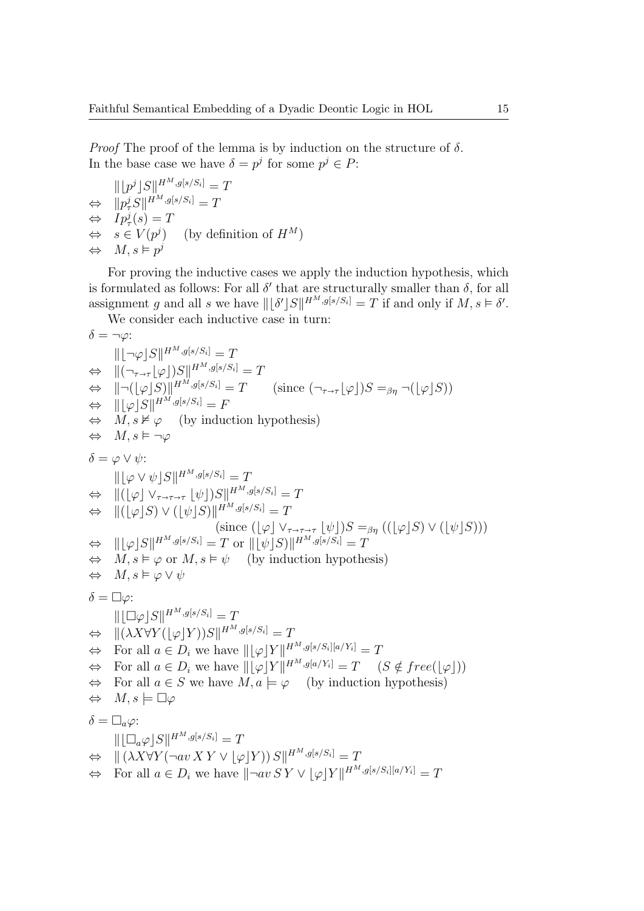*Proof* The proof of the lemma is by induction on the structure of  $\delta$ . In the base case we have  $\delta = p^j$  for some  $p^j \in P$ :

 $\|\lfloor p^j\rfloor S\|^{H^M,g[s/S_i]}=T$  $\Leftrightarrow$   $||p^j_{\tau}S||^{H^M,g[s/S_i]} = T$  $\Leftrightarrow$   $Ip^j_\tau(s) = T$  $\Leftrightarrow s \in V(p^j)$ (by definition of  $H^M$ )  $\Leftrightarrow M, s \vDash p^j$ 

For proving the inductive cases we apply the induction hypothesis, which is formulated as follows: For all  $\delta'$  that are structurally smaller than  $\delta$ , for all assignment g and all s we have  $\| [\delta' | S \|^{H^M, g[s/S_i]} = T$  if and only if  $M, s \models \delta'.$ 

We consider each inductive case in turn:

$$
\delta = \neg \varphi:
$$
\n
$$
||[\neg \varphi]S||^{H^M,g[s/S_i]} = T
$$
\n
$$
\Leftrightarrow ||[\neg_{\tau \to \tau}[\varphi])S||^{H^M,g[s/S_i]} = T \quad \Leftrightarrow ||[\neg (\varphi]S)||^{H^M,g[s/S_i]} = T \quad \Leftrightarrow ||[\varphi]S||^{H^M,g[s/S_i]} = F
$$
\n
$$
\Leftrightarrow M, s \nvDash \varphi \quad \text{(by induction hypothesis)}
$$
\n
$$
\Leftrightarrow M, s \vDash \neg \varphi
$$
\n
$$
\delta = \varphi \vee \psi:
$$
\n
$$
||[\varphi \vee \psi]S||^{H^M,g[s/S_i]} = T
$$
\n
$$
\Leftrightarrow ||([\varphi]S) \vee ([\psi]S)||^{H^M,g[s/S_i]} = T
$$
\n
$$
\Leftrightarrow ||[\varphi]S] \vee ([\psi]S)||^{H^M,g[s/S_i]} = T
$$
\n
$$
= T \quad \text{(since } ([\varphi] \vee_{\tau \to \tau \to \tau} [\psi])S =_{\beta\eta} (([\varphi]S) \vee ([\psi]S)))
$$
\n
$$
\Leftrightarrow ||[\varphi]S||^{H^M,g[s/S_i]} = T \quad \text{(since } ([\varphi] \vee_{\tau \to \tau \to \tau} [\psi])S =_{\beta\eta} (([\varphi]S) \vee ([\psi]S)))
$$
\n
$$
\Leftrightarrow ||[\varphi]S||^{H^M,g[s/S_i]} = T \quad \Leftrightarrow M, s \vDash \varphi \text{ or } M, s \vDash \psi \text{ (by induction hypothesis)}
$$
\n
$$
\Leftrightarrow M, s \vDash \varphi \vee \psi
$$
\n
$$
\delta = \Box \varphi:
$$
\n
$$
||[\Box \varphi]S||^{H^M,g[s/S_i]} = T
$$
\n
$$
\Leftrightarrow ||(\lambda X \forall Y([\varphi]Y))S||^{H^M,g[s/S_i]} = T
$$
\n
$$
\Leftrightarrow \text{For all } a \in D_i \text{ we have } ||[\varphi]Y||^{H^M,g[s/S_i]} = T \quad \text{(S } \notin free([\varphi]))
$$
\n
$$
\Leftrightarrow \text{For all } a \in D_i \text{ we have } ||[\varphi]Y||^{
$$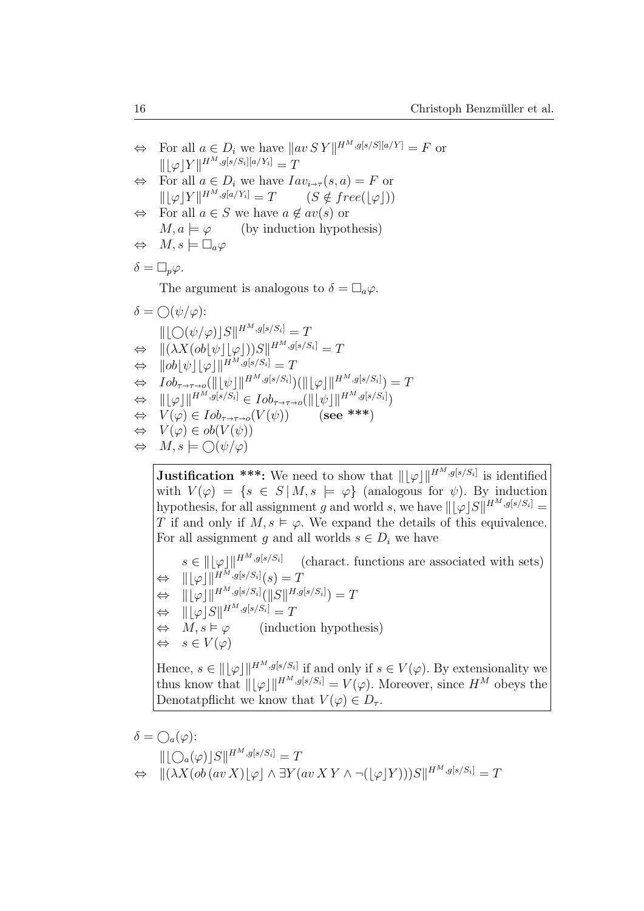| $\Leftrightarrow$ For all $a \in D_i$ we have $\ av \, SY\ ^{H^M, g[s/S][a/Y]} = F$ or                                     |
|----------------------------------------------------------------------------------------------------------------------------|
| $    \varphi  Y  ^{H^M, g[s/S_i][a/Y_i]} = T$                                                                              |
| $\Leftrightarrow$ For all $a \in D_i$ we have $Iav_{i\rightarrow\tau}(s, a) = F$ or                                        |
| $\ \phi Y\ ^{H^M,g[a/Y_i]} = T$ $(S \notin free( \varphi ))$                                                               |
| $\Leftrightarrow$ For all $a \in S$ we have $a \notin av(s)$ or                                                            |
| $M, a \models \varphi$ (by induction hypothesis)                                                                           |
| $\Leftrightarrow M, s \models \Box_a \varphi$                                                                              |
| $\delta = \Box_p \varphi$ .                                                                                                |
| The argument is analogous to $\delta = \Box_a \varphi$ .                                                                   |
| $\delta = \bigcirc (\psi/\varphi)$ :                                                                                       |
| $\   \bigcirc (\psi/\varphi)  S \ ^{H^M, g[s/S_i]} = T$                                                                    |
| $\Leftrightarrow \quad   (\lambda X (ob[\psi][\varphi]))S  ^{H^M, g[s/S_i]} = T$                                           |
| $\Leftrightarrow \quad   ob  \psi   \varphi  ^{H^M, g[s/S_i]} = T$                                                         |
| $\Leftrightarrow Iob_{\tau\rightarrow\tau\rightarrow o}(\   \psi  \ ^{H^M,g[s/S_i]}) (\   \varphi  \ ^{H^M,g[s/S_i]}) = T$ |
| $\Leftrightarrow$ $\ \phi\ ^{H^M, g[s/S_i]} \in Iob_{\tau \to \tau \to o}(\ \psi\ \ ^{H^M, g[s/S_i]})$                     |
|                                                                                                                            |
| $\Leftrightarrow V(\varphi) \in Iob_{\tau \to \tau \to o}(V(\psi))$ (see ***)                                              |
| $\Leftrightarrow V(\varphi) \in ob(V(\psi))$                                                                               |

**Justification \*\*\*:** We need to show that  $\| [\varphi] \|^{H^M, g[s/S_i]}$  is identified with  $V(\varphi) = \{s \in S \mid M, s \models \varphi\}$  (analogous for  $\psi$ ). By induction hypothesis, for all assignment g and world s, we have  $\|[\varphi]S\|^{H^M,g[s/S_i]} =$ T if and only if  $M, s \models \varphi$ . We expand the details of this equivalence. For all assignment g and all worlds  $s \in D_i$  we have

 $s \in ||\varphi||^{H^M, g[s/S_i]}$  (charact. functions are associated with sets)  $\Leftrightarrow$   $\|\phi\|\|^{H^M,g[s/S_i]}(s) = T$  $\Leftrightarrow \quad \| \lfloor \varphi \rfloor \|^{H^M,g[s/S_i]} (\|S\|^{H,g[s/S_i]}) = T$  $\Leftrightarrow$   $\|\phi\|S\|^{H^M, g[s/S_i]} = T$  $\Leftrightarrow M, s \models \varphi$  (induction hypothesis)  $\Leftrightarrow s \in V(\varphi)$ Hence,  $s \in ||\varphi||^{H^M, g[s/S_i]}$  if and only if  $s \in V(\varphi)$ . By extensionality we

thus know that  $\|\phi\|^{H^M,g[s/S_i]} = V(\varphi)$ . Moreover, since  $H^M$  obeys the Denotatpflicht we know that  $V(\varphi) \in D_{\tau}$ .

$$
\delta = \bigcirc_{a}(\varphi):
$$
  
\n
$$
\|\bigcirc_{a}(\varphi)\big|S\|^{H^{M},g[s/S_{i}]} = T
$$
  
\n
$$
\Leftrightarrow \|\big(\lambda X(\text{ob}(\text{av } X)\biguplus \wedge \exists Y(\text{av } XY \wedge \neg(\biguplus Y)))S\|^{H^{M},g[s/S_{i}]} = T
$$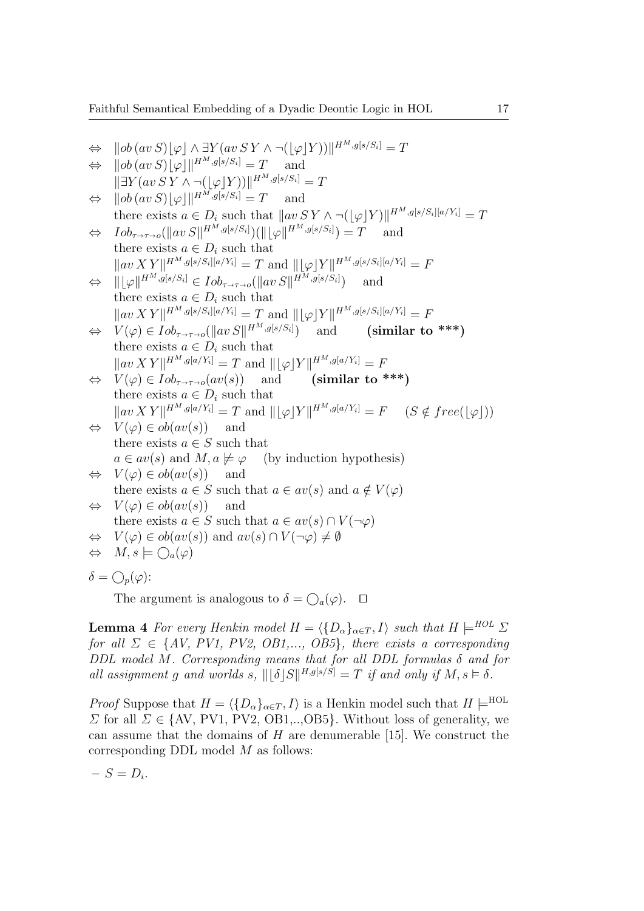Faithful Semantical Embedding of a Dyadic Deontic Logic in HOL 17

$$
⇒ ||ob(av S) [φ] ∧ ∃Y(av SY ∧ ¬((φ]Y))||HM.g[s/Si] = T\n⇒ ||ob(av S) [φ]||HM.g[s/Si] = T and\n|| ∃Y(av SY ∧ ¬((φ]Y))||HM.g[s/Si] = T\n⇒ ||ob(av S) [φ]||HM.g[s/Si] = T and\nthere exists a ∈ Di such that  $||av SY ∧ ¬((φ]Y)||HM.g[s/Si][a/Yi] = T$   
\n⇒  $Iob_{\tau \to \tau \to 0}$ ( $||av S||HM.g[s/Si])((||φ||HM.g[s/Si]) = T$  and  
\nthere exists a ∈ D<sub>i</sub> such that  
\n $||av XY||HM.g[s/Si][a/Yi] = T$  and  $||φ|Y||HM.g[s/Si][a/Yi] = F$   
\n⇒  $||φ||HM.g[s/Si][a/Yi] = T$  and  $||φ|Y||HM.g[s/Si][a/Yi] = F$   
\n⇒  $V(φ) ∈ Iob_{\tau \to \tau \to 0}$ ( $||av S||HM.g[s/Si])$  and (similar to ***)  
\nthere exists a ∈ D<sub>i</sub> such that  
\n $||av XY||HM.g[a/Yi] = T$  and  $||φ|Y||HM.g[a/Yi] = F$   
\n⇒  $V(φ) ∈ Iob_{\tau \to \tau \to 0}$ ( $||av S||HM.g[s/Si])$  and (similar to ***)  
\nthere exists a ∈ D<sub>i</sub> such that  
\n $||av XY||HM.g[a/Yi] = T$  and  $||φ|Y||HM.g[a/Yi] = F$  (S ∉ free([φ]))  
\n⇒  $V(φ) ∈ ob(av(s))$  and  
\nthere exists a ∈ S such that  
\na ∈ av(s) and M, a ≠ φ (by induction hypothesis)  
\n⇒  $V(φ) ∈ ob(av(s))$  and  
\nthere exists a ∈ S such that a ∈ av(s) and a ∉ V(φ)  
\n⇒  $V(φ) ∈ ob(av(s))$  and  
\nthere exists a ∈ S such that a ∈ av(s) ∩ V(
$$

The argument is analogous to  $\delta = \bigcirc_{a}(\varphi)$ .  $\Box$ 

**Lemma 4** For every Henkin model  $H = \langle \{D_{\alpha}\}_{{\alpha \in T}}, I \rangle$  such that  $H \models^{HOL} \Sigma$ for all  $\Sigma \in \{AV, PV1, PV2, OB1, \ldots, OB5\}$ , there exists a corresponding DDL model M. Corresponding means that for all DDL formulas  $\delta$  and for all assignment g and worlds s,  $\|\delta S\|^{H,g[s/S]} = T$  if and only if  $M, s \models \delta$ .

*Proof* Suppose that  $H = \langle \{D_{\alpha}\}_{{\alpha \in T}}, I \rangle$  is a Henkin model such that  $H \models^{\text{HOL}}$ Σ for all Σ ∈ {AV, PV1, PV2, OB1,..,OB5}. Without loss of generality, we can assume that the domains of  $H$  are denumerable [15]. We construct the corresponding DDL model M as follows:

$$
-S=D_i.
$$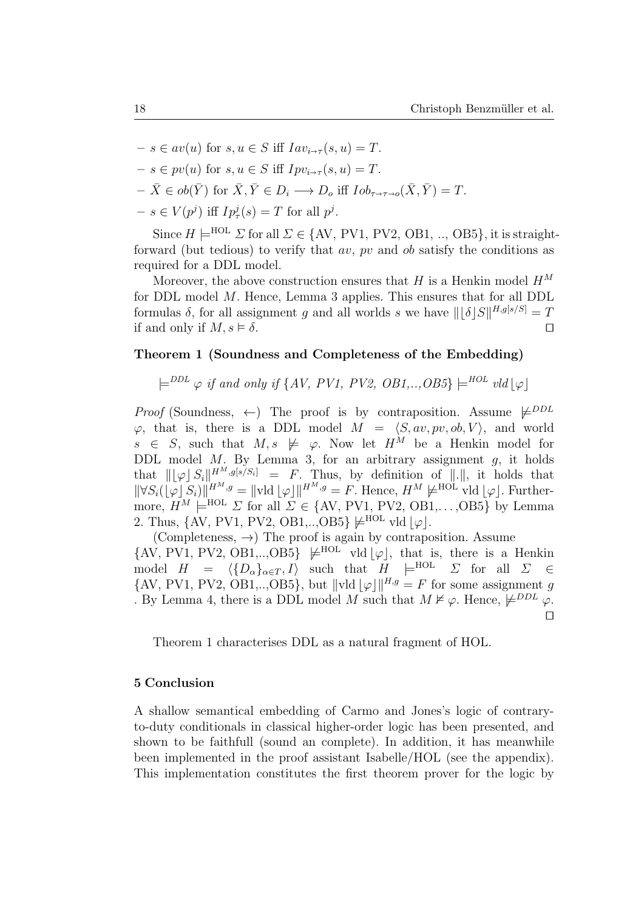$-s \in av(u)$  for  $s, u \in S$  iff  $Iav_{i \to \tau}(s, u) = T$ .  $-s \in pv(u)$  for  $s, u \in S$  iff  $Ipv_{i \to \tau}(s, u) = T$ .  $-\bar{X} \in ob(\bar{Y})$  for  $\bar{X}, \bar{Y} \in D_i \longrightarrow D_o$  iff  $\overline{I}ob_{\tau \to \tau \to 0}(\bar{X}, \bar{Y}) = T$ .  $-s \in V(p^j)$  iff  $Ip^j_\tau(s) = T$  for all  $p^j$ .

Since  $H \models^{\text{HOL}} \Sigma$  for all  $\Sigma \in \{AV, PV1, PV2, OB1, ..., OB5\}$ , it is straightforward (but tedious) to verify that  $av$ ,  $pv$  and  $ob$  satisfy the conditions as required for a DDL model.

Moreover, the above construction ensures that H is a Henkin model  $H^M$ for DDL model M. Hence, Lemma 3 applies. This ensures that for all DDL formulas  $\delta$ , for all assignment g and all worlds s we have  $\| \lfloor \delta |S||^{H, g[s/S]} = T$ if and only if  $M, s \models \delta$ .

# Theorem 1 (Soundness and Completeness of the Embedding)

 $\models^{DDL} \varphi$  if and only if {AV, PV1, PV2, OB1,..,OB5}  $\models^{HOL} vld[\varphi]$ 

*Proof* (Soundness,  $\leftarrow$ ) The proof is by contraposition. Assume  $\not\models$ <sup>DDL</sup>  $\varphi$ , that is, there is a DDL model  $M = \langle S, av, pv, ob, V \rangle$ , and world  $s \in S$ , such that  $M, s \not\models \varphi$ . Now let  $H^M$  be a Henkin model for DDL model M. By Lemma 3, for an arbitrary assignment  $q$ , it holds that  $\|[\varphi] S_i\|^{H^M, g[s/S_i]} = F$ . Thus, by definition of  $\|.\|$ , it holds that  $\|\forall S_i(\lfloor \varphi \rfloor S_i)\|^{H^M,g} = \|\text{vld}\lfloor \varphi\rfloor\|^{H^M,g} = F.$  Hence,  $H^M \not\models^{\text{HOL}} \text{vld}\lfloor \varphi\rfloor$ . Furthermore,  $H^M \models^{\text{HOL}} \Sigma$  for all  $\Sigma \in \{AV, PV1, PV2, OB1, \ldots, OB5\}$  by Lemma 2. Thus,  $\{AV, PV1, PV2, OB1, \ldots, OB5\} \not\models^{HOL} \text{vld } |\varphi|.$ 

(Completeness,  $\rightarrow$ ) The proof is again by contraposition. Assume  $\{AV, PV1, PV2, OB1, \ldots, OB5\} \not\models^{HOL} \text{vld } |\varphi|$ , that is, there is a Henkin model  $H = \langle \{D_{\alpha}\}_{{\alpha \in T} , I} \rangle$  such that  $H \models^{\text{HOL}} \Sigma$  for all  $\Sigma \in$  $\{AV, PV1, PV2, OB1, \ldots, OB5\}$ , but  $\|vd\| \varphi\|^{H,g} = F$  for some assignment g . By Lemma 4, there is a DDL model M such that  $M \nvDash \varphi$ . Hence,  $\not\models^{DDL} \varphi$ .  $\Box$ 

Theorem 1 characterises DDL as a natural fragment of HOL.

## 5 Conclusion

A shallow semantical embedding of Carmo and Jones's logic of contraryto-duty conditionals in classical higher-order logic has been presented, and shown to be faithfull (sound an complete). In addition, it has meanwhile been implemented in the proof assistant Isabelle/HOL (see the appendix). This implementation constitutes the first theorem prover for the logic by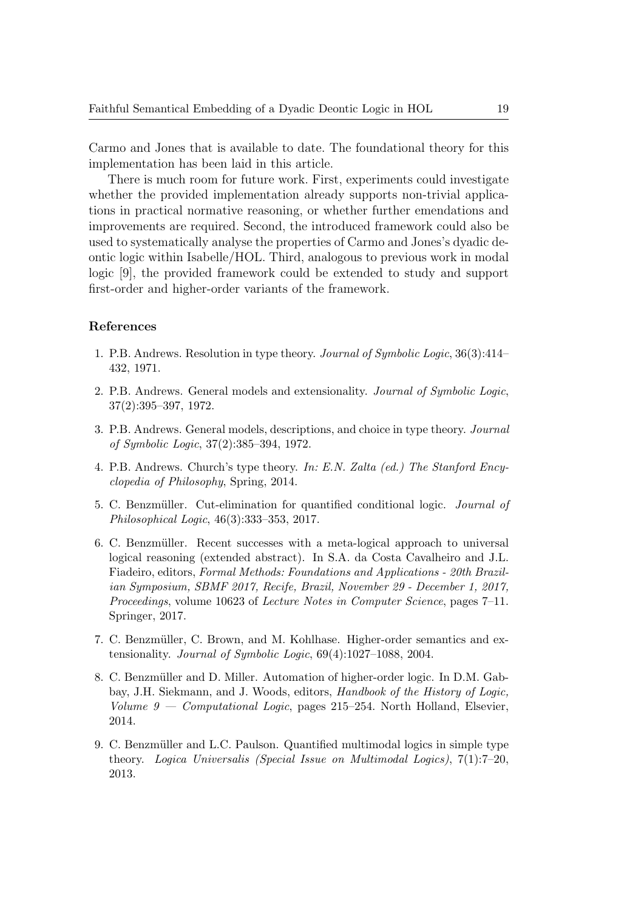Carmo and Jones that is available to date. The foundational theory for this implementation has been laid in this article.

There is much room for future work. First, experiments could investigate whether the provided implementation already supports non-trivial applications in practical normative reasoning, or whether further emendations and improvements are required. Second, the introduced framework could also be used to systematically analyse the properties of Carmo and Jones's dyadic deontic logic within Isabelle/HOL. Third, analogous to previous work in modal logic [9], the provided framework could be extended to study and support first-order and higher-order variants of the framework.

## References

- 1. P.B. Andrews. Resolution in type theory. Journal of Symbolic Logic, 36(3):414– 432, 1971.
- 2. P.B. Andrews. General models and extensionality. Journal of Symbolic Logic, 37(2):395–397, 1972.
- 3. P.B. Andrews. General models, descriptions, and choice in type theory. Journal of Symbolic Logic, 37(2):385–394, 1972.
- 4. P.B. Andrews. Church's type theory. In: E.N. Zalta (ed.) The Stanford Encyclopedia of Philosophy, Spring, 2014.
- 5. C. Benzmüller. Cut-elimination for quantified conditional logic. *Journal of* Philosophical Logic, 46(3):333–353, 2017.
- 6. C. Benzmüller. Recent successes with a meta-logical approach to universal logical reasoning (extended abstract). In S.A. da Costa Cavalheiro and J.L. Fiadeiro, editors, Formal Methods: Foundations and Applications - 20th Brazilian Symposium, SBMF 2017, Recife, Brazil, November 29 - December 1, 2017, Proceedings, volume 10623 of Lecture Notes in Computer Science, pages 7–11. Springer, 2017.
- 7. C. Benzmüller, C. Brown, and M. Kohlhase. Higher-order semantics and extensionality. Journal of Symbolic Logic, 69(4):1027–1088, 2004.
- 8. C. Benzmüller and D. Miller. Automation of higher-order logic. In D.M. Gabbay, J.H. Siekmann, and J. Woods, editors, Handbook of the History of Logic, Volume  $9$  — Computational Logic, pages 215–254. North Holland, Elsevier, 2014.
- 9. C. Benzmüller and L.C. Paulson. Quantified multimodal logics in simple type theory. Logica Universalis (Special Issue on Multimodal Logics), 7(1):7–20, 2013.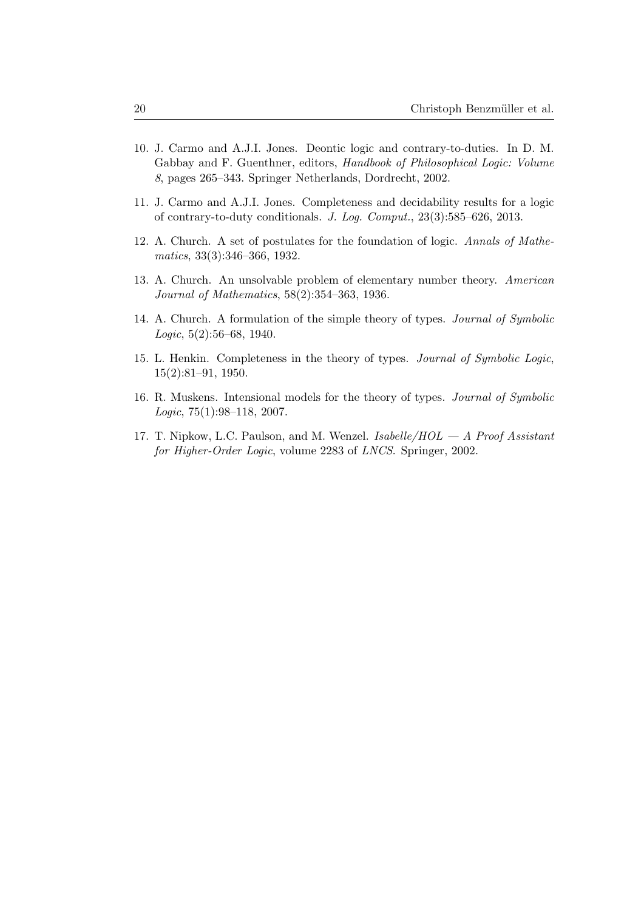- 10. J. Carmo and A.J.I. Jones. Deontic logic and contrary-to-duties. In D. M. Gabbay and F. Guenthner, editors, Handbook of Philosophical Logic: Volume 8, pages 265–343. Springer Netherlands, Dordrecht, 2002.
- 11. J. Carmo and A.J.I. Jones. Completeness and decidability results for a logic of contrary-to-duty conditionals. J. Log. Comput., 23(3):585–626, 2013.
- 12. A. Church. A set of postulates for the foundation of logic. Annals of Mathematics, 33(3):346–366, 1932.
- 13. A. Church. An unsolvable problem of elementary number theory. American Journal of Mathematics, 58(2):354–363, 1936.
- 14. A. Church. A formulation of the simple theory of types. Journal of Symbolic Logic, 5(2):56–68, 1940.
- 15. L. Henkin. Completeness in the theory of types. Journal of Symbolic Logic, 15(2):81–91, 1950.
- 16. R. Muskens. Intensional models for the theory of types. Journal of Symbolic Logic, 75(1):98–118, 2007.
- 17. T. Nipkow, L.C. Paulson, and M. Wenzel. Isabelle/ $HOL A$  Proof Assistant for Higher-Order Logic, volume 2283 of LNCS. Springer, 2002.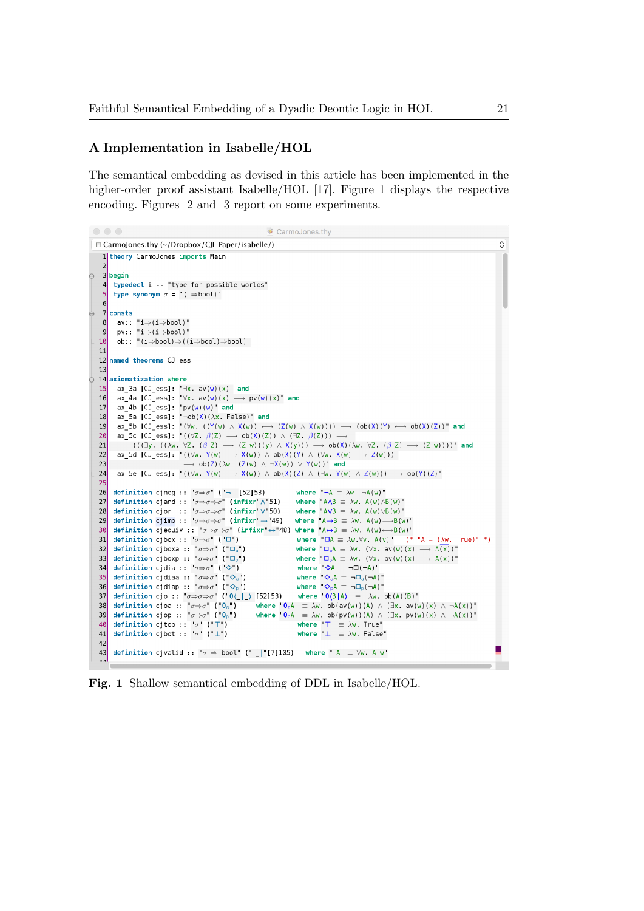## A Implementation in Isabelle/HOL

The semantical embedding as devised in this article has been implemented in the higher-order proof assistant Isabelle/HOL [17]. Figure 1 displays the respective encoding. Figures 2 and 3 report on some experiments.

```
\bullet \bullet \bulletCarmoJones.thy
                                                                                                                                                                                       \hat{\cdot}CarmoJones.thy (~/Dropbox/CJL Paper/isabelle/)
    1 theory CarmoJones imports Main
   3 begin
    \overline{4}typedecl i -- "type for possible worlds"
        type_synonym \sigma = "(i=bool)"
    \overline{7}consts
        av:: "\texttt{i} \Rightarrow \texttt{(i} \Rightarrow \texttt{bool})"
   8
        pv: "i \Rightarrow (i \Rightarrow bool)"q
        ob:: "(i\Rightarrowbool)\Rightarrow((i\Rightarrowbool)\Rightarrowbool)"
  1011
  12 named theorems CJ ess
  1314 axiomatization where
  15
        ax_3a [CJ_ess]: "∃x. av(w)(x)" and
        ax^2 4a [CJ ess]: "\forall x. av(w)(x) -
  16
                                                                  \rightarrow pv(w)(x)" and
        ax_4b [CJ_ess]: "pv(w)(w)" and<br>ax_5a [CJ_ess]: "\neg ob(X)(\lambda x. False)" and
  17
  18
         ax\_5b [CJ_ess]: "(\forall w. ((Y(w) \land X(w)) \longleftrightarrow (Z(w) \land X(w)))) \longrightarrow (ob(X)(Y) \leftrightarrow ob(X)(Z))" and
  19
          ax_5c [CJ_ess]: "((\forall Z. \ \beta(Z) \longrightarrow ob(X)(Z)) \wedge (\exists Z. \ \beta(Z))) —
  20((\exists y \cdot ((\lambda w. \forall Z. (\beta Z) \rightarrow (Z w))(y) \wedge X(y))) \rightarrow ob(X)(\lambda w. \forall Z. (\beta Z) \rightarrow (Z w))))" and
  21ax_5d [CJ_ess]: "((\forall w. Y(w) \longrightarrow X(w)) \wedge ob(X)(Y) \wedge (\forall w. X(w) \longrightarrow Z(w)))22
  2<sub>3</sub>\rightarrow ob(Z)(\lambdaw. (Z(w) \land \neg X(w)) \lor Y(w))" and
  24ax_5e [CJ_ess]: "((\forall w. Y(w) \longrightarrow X(w)) \wedge ob(X) (Z) \wedge (\exists w. Y(w) \wedge Z(w))) \longrightarrow ob(Y) (Z)"
  25
  26definition cjneg :: "\sigma \Rightarrow \sigma" ("- "[52]53)
                                                                                         where "\neg A \equiv \lambda w. \neg A(w)"
  27 definition cjand :: "\sigma \Rightarrow \sigma \Rightarrow \sigma" (infixr" \"51)
                                                                                       where "A \wedge B \equiv \lambda w. A(w) \wedge B(w)"
        definition cjor :: "\sigma \Rightarrow \sigma \Rightarrow \sigma" (infixr"\"50)
                                                                                         where "AVB \equiv \lambda w. A(w) \vee B(w)"
  28
       definition cjimp :: "\sigma \Rightarrow \sigma \Rightarrow \sigma" (infixr"-+"49)
                                                                                        where A \rightarrow B \equiv \lambda w. A(w) \rightarrow B(w)29
        definition cjump :: "\sigma \Rightarrow \sigma \Rightarrow \sigma" (infixr"\rightarrow"49) where "A\rightarrowB = Aw. A(w)\rightarrowB(w)"<br>definition cjequiv :: "\sigma \Rightarrow \sigma \Rightarrow \sigma" (infixr"\leftrightarrow"48) where "A\leftrightarrowB = Aw. A(w)\leftrightarrowB(w)"<br>definition cjbox :: "\sigma \Rightarrow \sigma" ("L")") where "D
  30
        definition cjbox :: "\sigma \Rightarrow \sigma" ("\square")
  31
       definition cjboxa :: "\sigma \Rightarrow \sigma" ("\square_a")
                                                                                          where {}^w \square_0 A \equiv \lambda w. (\forall x. av(w)(x) \longrightarrow A(x))"
  32
                                                                                          where "\Box_p A \equiv \lambda w. (\forall x. pv(w)(x) \longrightarrow A(x))"
  33
        definition cjboxp :: "\sigma \Rightarrow \sigma" ("\square_p")
        definition cjdia :: "\sigma \Rightarrow \sigma" ("\diamond")
                                                                                           where "\diamond A \equiv \neg \Box (\neg A)"34where "\diamondsuit_aA \equiv \neg \Box_a(\neg A)"definition cjdiaa :: "\sigma \Rightarrow \sigma" ("\Diamond<sub>a</sub>")
  35
       definition cjdiap : \sigma \Rightarrow \sigma^* ("\Diamond_p")
                                                                                          where \sqrt[m]{\ }_{p}A \equiv \neg \Box_{p}(\neg A)^{m}36
        definition cjo :: "\sigma \Rightarrow \sigma \Rightarrow \sigma" ("0\_|_\"[52]53)
                                                                                           where ^{\circ}O(B|A) \equiv \lambda w \cdot ob(A)(B)^{\circ}37
        definition cjoa :: "\sigma \Rightarrow \sigma" ("O<sub>a</sub>")
                                                                        where "O_aA = \lambda w. ob(av(w))(A) \wedge (\exists x. av(w)(x) \wedge \neg A(x))"
  38
        definition cjop :: "\sigma \Rightarrow \sigma" ("O<sub>p</sub>")
                                                                        where "0_pA \equiv \lambda w, ob(pv(w))(A) \wedge (\exists x. pv(w)(x) \wedge \neg A(x))"
  39
                                                                                           where T = \lambda w. True"
  40
        definition cjtop :: "\sigma" ("T")
                                                                                           where \mathbb{L} \equiv \lambda w. False"
  41
        definition cjbot :: "\sigma" ("\perp")
  42definition cjvalid :: "\sigma \Rightarrow bool" ("|_|"[7]105) where "|A| \equiv \forall w. A w"
  43
```
Fig. 1 Shallow semantical embedding of DDL in Isabelle/HOL.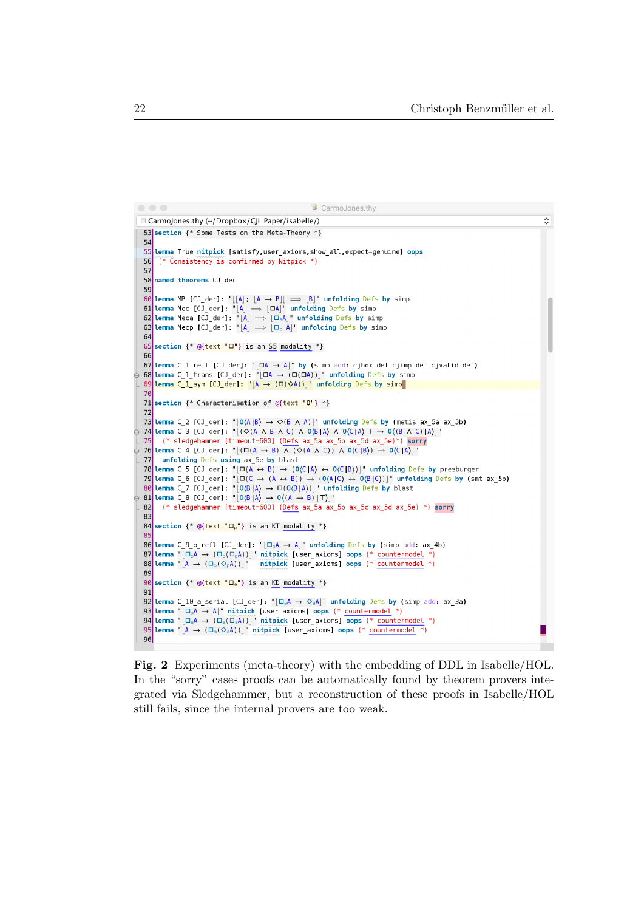```
\bullet\bullet\bulletCarmoJones.thy
                                                                                                                                                                                \overline{\mathcal{C}}□ CarmoJones.thy (~/Dropbox/CJL Paper/isabelle/)
  53 section {* Some Tests on the Meta-Theory *}
  5455
       lemma True nitpick [satisfy, user_axioms, show_all, expect=genuine] oops
  56
        (* Consistency is confirmed by Nitpick *)
  57
  58
       named theorems CJ_der
  59
  59<br>
60 Lemma MP [CJ_der]: "[[A]; [A \rightarrow B]] \Rightarrow [B]" unfolding Defs by simp<br>
61 Lemma Nec [CJ_der]: "[A] \Rightarrow [OA]" unfolding Defs by simp<br>
62 Lemma Neca [CJ_der]: "[A] \Rightarrow [O<sub>a</sub>A]" unfolding Defs by simp<br>
63 Lemma Nec
  64
  65
       section \{*\alpha\} (text "\square"} is an S5 modality *}
  66
  67Lemma C 1 refl [CJ der]: "|\Box A \rightarrow A|" by (simp add: cibox def ciimp def civalid def)
  \overline{68} Lemma C 1 trans [CJ der]: "|DA \rightarrow (D(DA))|" unfolding Defs by simp
       Lemma C_1_sym [CJ_der]: "[A \rightarrow (\Box(\Diamond A))]" unfolding Defs by simp
  69
  7071 section \{\ast Characterisation of @{text "0"} \ast}
  7273 Lemma C_2 [CJ_der]: "|0(A|B) \rightarrow \Diamond(B \land A)|" unfolding Defs by (metis ax_5a ax_5b)
  74 Lemma C 3 [CJ_der]: "[(\diamond (A \land B \land C) \land 0(\& B) \land 0(\& C) \land ) \rightarrow 0((B \land C) \& A)]"
         (* sledgehammer [timeout=600] (Defs ax 5a ax 5b ax 5d ax 5e)*) sorry
  7<sup>5</sup>76 Lemma C_4 [CJ_der]: " | (\Box(A \rightarrow B) \land (\diamond(A \land C)) \land 0\langleC |B)) \rightarrow 0\langleC |A)|"
       unfolding Defs using ax 5e by blast
  77
  78 Lemma C_5 [CJ_der]: "\left[\Box(G) + B\right] \rightarrow (0 \langle C|B \rangle)" unfolding Defs by presburger<br>79 Lemma C_6 [CJ_der]: "\left[\Box(G) + B\right] \rightarrow (0 \langle C|B \rangle)" unfolding Defs by presburger<br>79 Lemma C_6 [CJ_der]: "\left[\Box(G) + (A \leftrightarrow B) \right] \rightarrow (0 \langle A|C \rangle \leftrightarrow 0 \langle B|C(* sledgehammer [timeout=600] (Defs ax 5a ax 5b ax 5c ax 5d ax 5e) *) sorry
  828<sup>2</sup>84 section \{*\Theta\} ext "\Box_{p}"} is an KT modality *}
  85
  \overline{36} Lemma C_9_p_refl [CJ_der]: "\Box_{p}A \rightarrow A]" unfolding Defs by (simp add: ax_4b)
  87 Lemma "\left[\Box_{\rho} A \rightarrow (\Box_{\rho} (\Box_{\rho} A))\right]^* mitpick [user_axioms] oops (* countermodel *)<br>88 Lemma "\left[\Box_{\rho} A \rightarrow (\Box_{\rho} (\Diamond_{\rho} A))\right]^* mitpick [user_axioms] oops (* countermodel *)
  89
  90
       section \{*\Theta(\text{text "} \square_a"\} \text{ is an KD modality *\}91
  92 Lemma C 10 a serial [CJ der]: "|\Box_{\alpha}A \rightarrow \Diamond_{\alpha}A|" unfolding Defs by (simp add: ax 3a)
  93 Lemma "[D<sub>a</sub>A \rightarrow A]" nitpick [user_axioms] oops (* countermodel *)<br>94 Lemma "[D<sub>a</sub>A \rightarrow A]" nitpick [user_axioms] oops (* countermodel *)
  95
       Lemma "[A \rightarrow (\Box_a (\Diamond_a A))]" nitpick [user_axioms] oops (* countermodel *)
  96
```
Fig. 2 Experiments (meta-theory) with the embedding of DDL in Isabelle/HOL. In the "sorry" cases proofs can be automatically found by theorem provers integrated via Sledgehammer, but a reconstruction of these proofs in Isabelle/HOL still fails, since the internal provers are too weak.